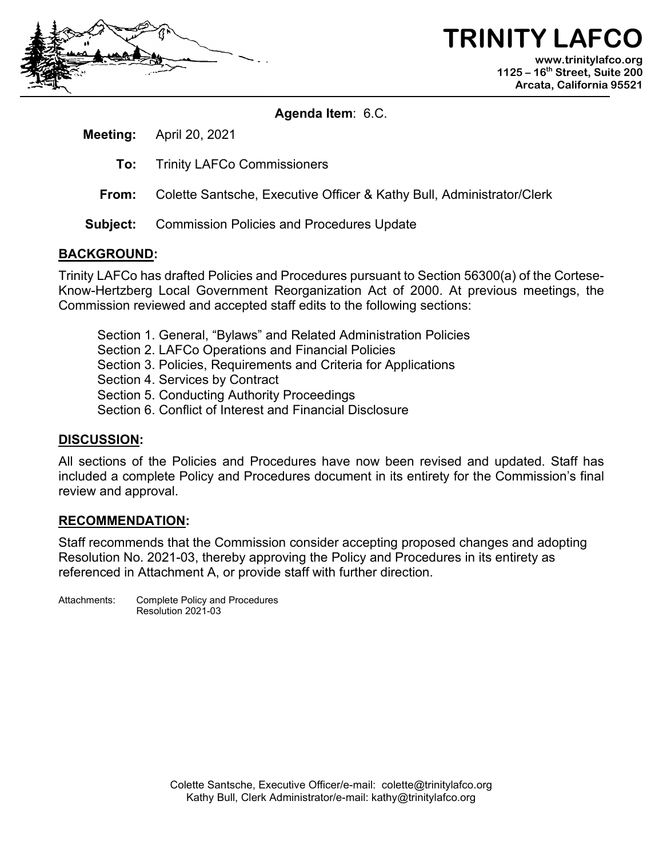

## **TRINITY LAFC www.trinitylafco.org 1125 – 16th Street, Suite 200 Arcata, California 95521**

**Agenda Item**: 6.C.

**Meeting:** April 20, 2021

- **To:** Trinity LAFCo Commissioners
- **From:** Colette Santsche, Executive Officer & Kathy Bull, Administrator/Clerk
- **Subject:** Commission Policies and Procedures Update

## **BACKGROUND:**

Trinity LAFCo has drafted Policies and Procedures pursuant to Section 56300(a) of the Cortese-Know-Hertzberg Local Government Reorganization Act of 2000. At previous meetings, the Commission reviewed and accepted staff edits to the following sections:

- Section 1. General, "Bylaws" and Related Administration Policies
- Section 2. LAFCo Operations and Financial Policies
- Section 3. Policies, Requirements and Criteria for Applications
- Section 4. Services by Contract
- Section 5. Conducting Authority Proceedings
- Section 6. Conflict of Interest and Financial Disclosure

## **DISCUSSION:**

All sections of the Policies and Procedures have now been revised and updated. Staff has included a complete Policy and Procedures document in its entirety for the Commission's final review and approval.

## **RECOMMENDATION:**

Staff recommends that the Commission consider accepting proposed changes and adopting Resolution No. 2021-03, thereby approving the Policy and Procedures in its entirety as referenced in Attachment A, or provide staff with further direction.

Attachments: Complete Policy and Procedures Resolution 2021-03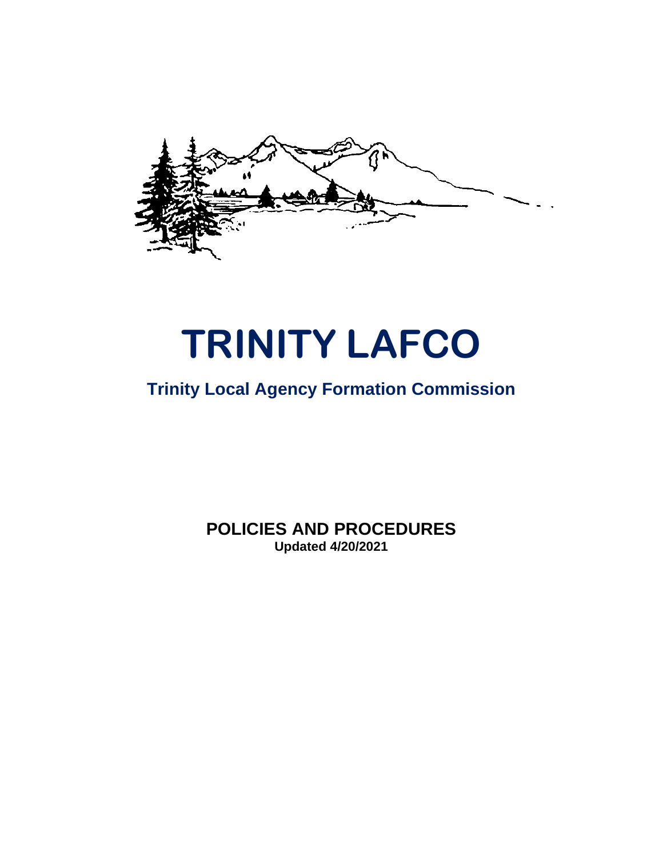

# **TRINITY LAFCO**

# **Trinity Local Agency Formation Commission**

**POLICIES AND PROCEDURES Updated 4/20/2021**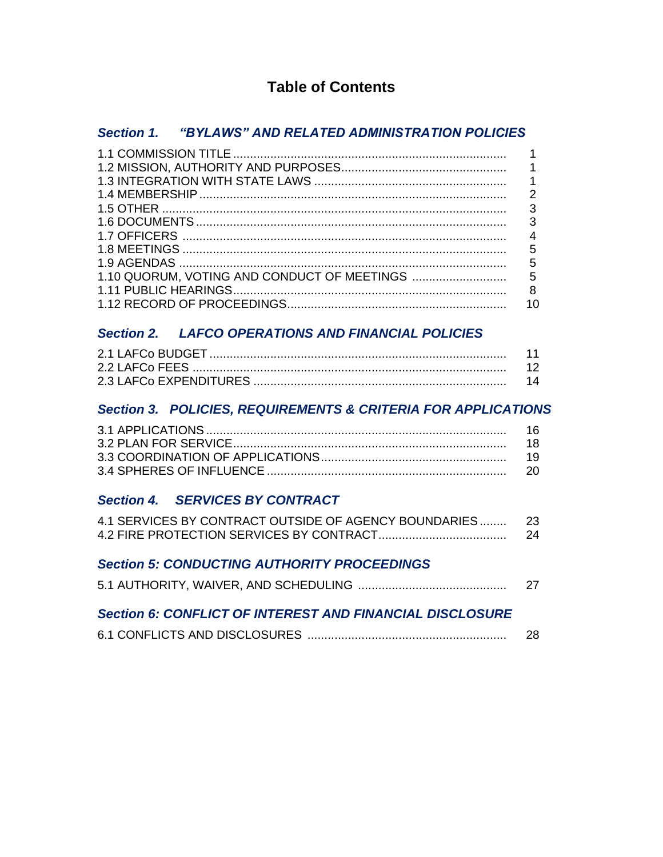# **Table of Contents**

# *Section 1. "BYLAWS" AND RELATED ADMINISTRATION POLICIES*

| 4  |
|----|
|    |
|    |
|    |
|    |
| 10 |

# *Section 2.**LAFCO OPERATIONS AND FINANCIAL POLICIES*

## *Section 3.**POLICIES, REQUIREMENTS & CRITERIA FOR APPLICATIONS*

| -16. |
|------|
|      |
|      |
|      |

## *Section 4. SERVICES BY CONTRACT*

| 4.1 SERVICES BY CONTRACT OUTSIDE OF AGENCY BOUNDARIES | 23 |
|-------------------------------------------------------|----|
|                                                       | 24 |

## *Section 5: CONDUCTING AUTHORITY PROCEEDINGS*

|--|--|

## *Section 6: CONFLICT OF INTEREST AND FINANCIAL DISCLOSURE*

|--|--|--|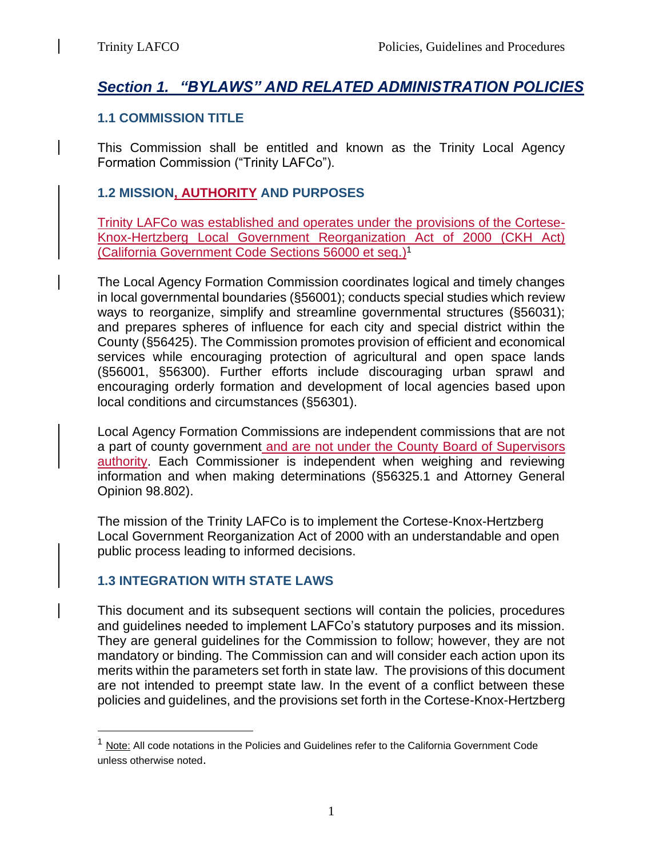# *Section 1. "BYLAWS" AND RELATED ADMINISTRATION POLICIES*

## **1.1 COMMISSION TITLE**

This Commission shall be entitled and known as the Trinity Local Agency Formation Commission ("Trinity LAFCo").

# **1.2 MISSION, AUTHORITY AND PURPOSES**

Trinity LAFCo was established and operates under the provisions of the Cortese-Knox-Hertzberg Local Government Reorganization Act of 2000 (CKH Act) (California Government Code Sections 56000 et seq.) 1

The Local Agency Formation Commission coordinates logical and timely changes in local governmental boundaries (§56001); conducts special studies which review ways to reorganize, simplify and streamline governmental structures (§56031); and prepares spheres of influence for each city and special district within the County (§56425). The Commission promotes provision of efficient and economical services while encouraging protection of agricultural and open space lands (§56001, §56300). Further efforts include discouraging urban sprawl and encouraging orderly formation and development of local agencies based upon local conditions and circumstances (§56301).

Local Agency Formation Commissions are independent commissions that are not a part of county government and are not under the County Board of Supervisors authority. Each Commissioner is independent when weighing and reviewing information and when making determinations (§56325.1 and Attorney General Opinion 98.802).

The mission of the Trinity LAFCo is to implement the Cortese-Knox-Hertzberg Local Government Reorganization Act of 2000 with an understandable and open public process leading to informed decisions.

## **1.3 INTEGRATION WITH STATE LAWS**

This document and its subsequent sections will contain the policies, procedures and guidelines needed to implement LAFCo's statutory purposes and its mission. They are general guidelines for the Commission to follow; however, they are not mandatory or binding. The Commission can and will consider each action upon its merits within the parameters set forth in state law. The provisions of this document are not intended to preempt state law. In the event of a conflict between these policies and guidelines, and the provisions set forth in the Cortese-Knox-Hertzberg

 $<sup>1</sup>$  Note: All code notations in the Policies and Guidelines refer to the California Government Code</sup> unless otherwise noted.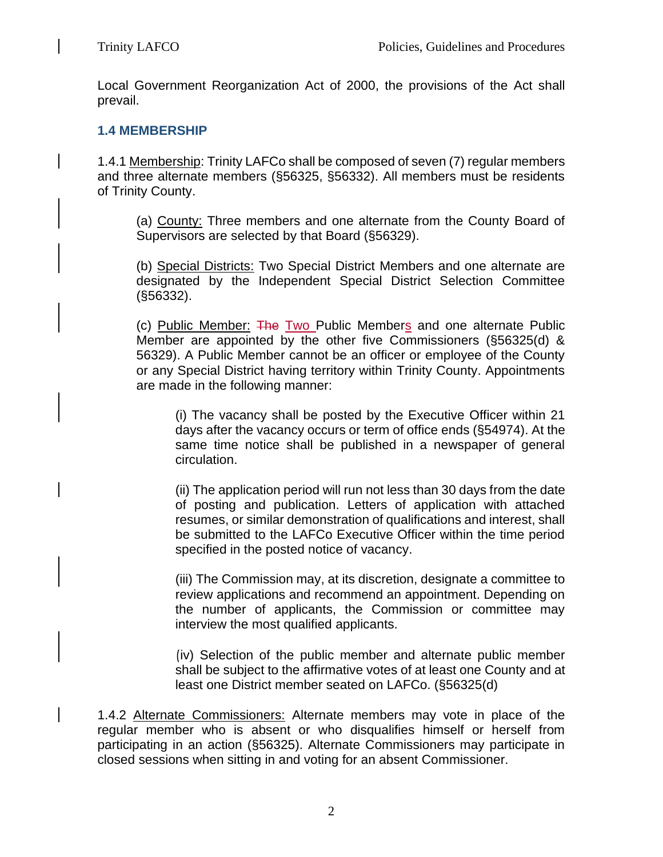Local Government Reorganization Act of 2000, the provisions of the Act shall prevail.

## **1.4 MEMBERSHIP**

1.4.1 Membership: Trinity LAFCo shall be composed of seven (7) regular members and three alternate members (§56325, §56332). All members must be residents of Trinity County.

(a) County: Three members and one alternate from the County Board of Supervisors are selected by that Board (§56329).

(b) Special Districts: Two Special District Members and one alternate are designated by the Independent Special District Selection Committee (§56332).

(c) Public Member: The Two Public Members and one alternate Public Member are appointed by the other five Commissioners (§56325(d) & 56329). A Public Member cannot be an officer or employee of the County or any Special District having territory within Trinity County. Appointments are made in the following manner:

(i) The vacancy shall be posted by the Executive Officer within 21 days after the vacancy occurs or term of office ends (§54974). At the same time notice shall be published in a newspaper of general circulation.

(ii) The application period will run not less than 30 days from the date of posting and publication. Letters of application with attached resumes, or similar demonstration of qualifications and interest, shall be submitted to the LAFCo Executive Officer within the time period specified in the posted notice of vacancy.

(iii) The Commission may, at its discretion, designate a committee to review applications and recommend an appointment. Depending on the number of applicants, the Commission or committee may interview the most qualified applicants.

(iv) Selection of the public member and alternate public member shall be subject to the affirmative votes of at least one County and at least one District member seated on LAFCo. (§56325(d)

1.4.2 Alternate Commissioners: Alternate members may vote in place of the regular member who is absent or who disqualifies himself or herself from participating in an action (§56325). Alternate Commissioners may participate in closed sessions when sitting in and voting for an absent Commissioner.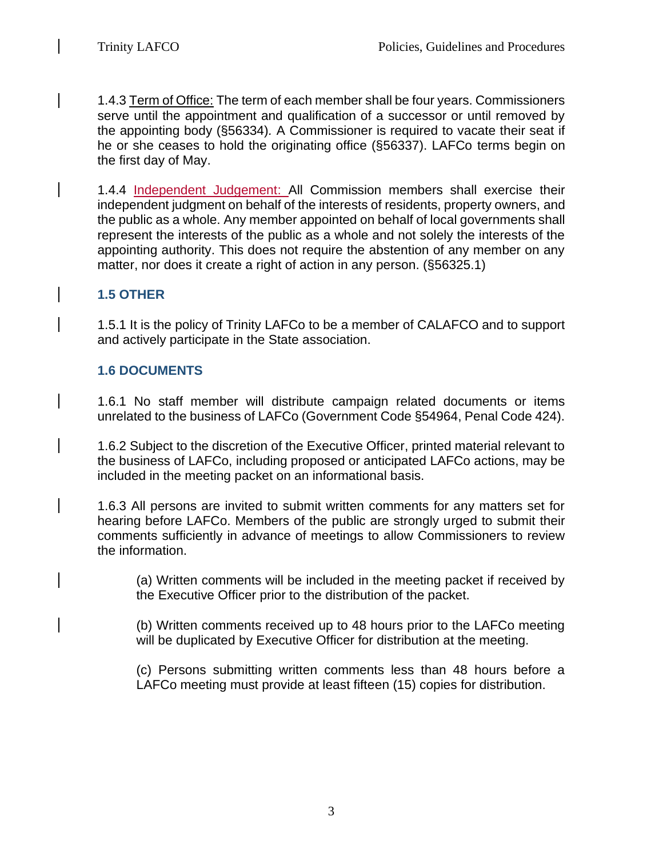1.4.3 Term of Office: The term of each member shall be four years. Commissioners serve until the appointment and qualification of a successor or until removed by the appointing body (§56334)*.* A Commissioner is required to vacate their seat if he or she ceases to hold the originating office (§56337). LAFCo terms begin on the first day of May.

1.4.4 Independent Judgement: All Commission members shall exercise their independent judgment on behalf of the interests of residents, property owners, and the public as a whole. Any member appointed on behalf of local governments shall represent the interests of the public as a whole and not solely the interests of the appointing authority. This does not require the abstention of any member on any matter, nor does it create a right of action in any person. (§56325.1)

## **1.5 OTHER**

1.5.1 It is the policy of Trinity LAFCo to be a member of CALAFCO and to support and actively participate in the State association.

## **1.6 DOCUMENTS**

1.6.1 No staff member will distribute campaign related documents or items unrelated to the business of LAFCo (Government Code §54964, Penal Code 424).

1.6.2 Subject to the discretion of the Executive Officer, printed material relevant to the business of LAFCo, including proposed or anticipated LAFCo actions, may be included in the meeting packet on an informational basis.

1.6.3 All persons are invited to submit written comments for any matters set for hearing before LAFCo. Members of the public are strongly urged to submit their comments sufficiently in advance of meetings to allow Commissioners to review the information.

(a) Written comments will be included in the meeting packet if received by the Executive Officer prior to the distribution of the packet.

(b) Written comments received up to 48 hours prior to the LAFCo meeting will be duplicated by Executive Officer for distribution at the meeting.

(c) Persons submitting written comments less than 48 hours before a LAFCo meeting must provide at least fifteen (15) copies for distribution.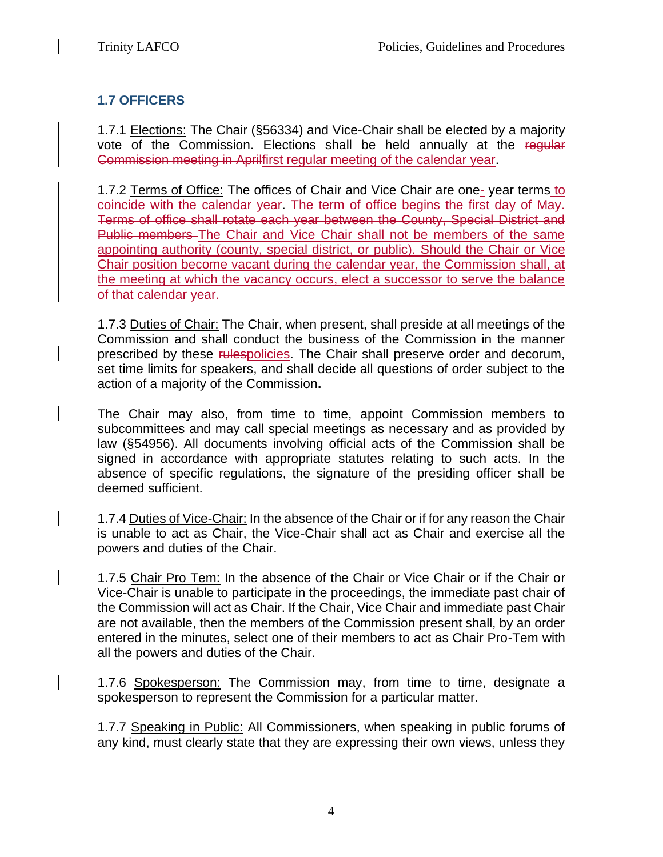# **1.7 OFFICERS**

1.7.1 Elections: The Chair (§56334) and Vice-Chair shall be elected by a majority vote of the Commission. Elections shall be held annually at the regular Commission meeting in Aprilfirst regular meeting of the calendar year.

1.7.2 Terms of Office: The offices of Chair and Vice Chair are one- year terms to coincide with the calendar year. The term of office begins the first day of May. Terms of office shall rotate each year between the County, Special District and Public members The Chair and Vice Chair shall not be members of the same appointing authority (county, special district, or public). Should the Chair or Vice Chair position become vacant during the calendar year, the Commission shall, at the meeting at which the vacancy occurs, elect a successor to serve the balance of that calendar year.

1.7.3 Duties of Chair: The Chair, when present, shall preside at all meetings of the Commission and shall conduct the business of the Commission in the manner prescribed by these rulespolicies. The Chair shall preserve order and decorum, set time limits for speakers, and shall decide all questions of order subject to the action of a majority of the Commission**.** 

The Chair may also, from time to time, appoint Commission members to subcommittees and may call special meetings as necessary and as provided by law (§54956). All documents involving official acts of the Commission shall be signed in accordance with appropriate statutes relating to such acts. In the absence of specific regulations, the signature of the presiding officer shall be deemed sufficient.

1.7.4 Duties of Vice-Chair: In the absence of the Chair or if for any reason the Chair is unable to act as Chair, the Vice-Chair shall act as Chair and exercise all the powers and duties of the Chair.

1.7.5 Chair Pro Tem: In the absence of the Chair or Vice Chair or if the Chair or Vice-Chair is unable to participate in the proceedings, the immediate past chair of the Commission will act as Chair. If the Chair, Vice Chair and immediate past Chair are not available, then the members of the Commission present shall, by an order entered in the minutes, select one of their members to act as Chair Pro-Tem with all the powers and duties of the Chair.

1.7.6 Spokesperson: The Commission may, from time to time, designate a spokesperson to represent the Commission for a particular matter.

1.7.7 Speaking in Public: All Commissioners, when speaking in public forums of any kind, must clearly state that they are expressing their own views, unless they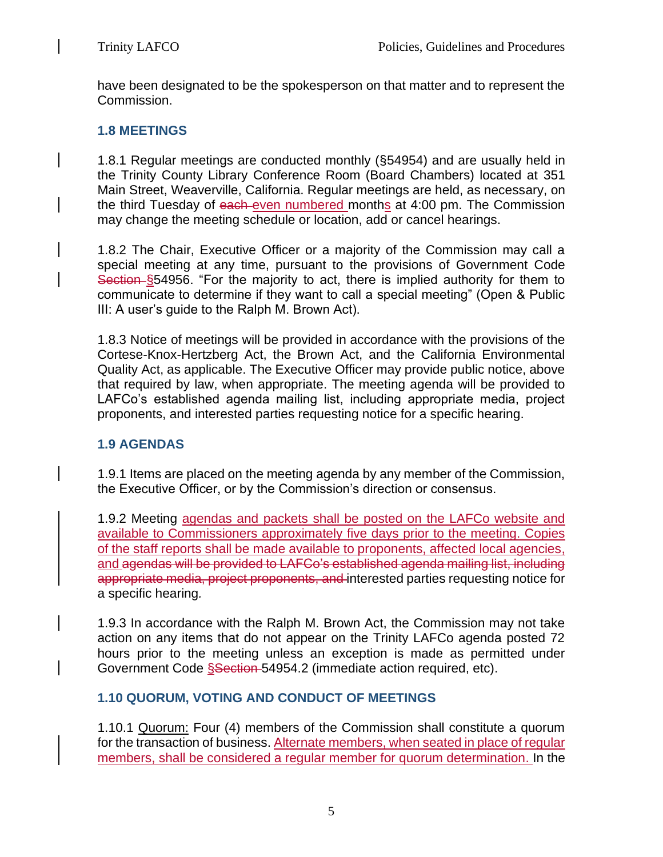have been designated to be the spokesperson on that matter and to represent the Commission.

## **1.8 MEETINGS**

1.8.1 Regular meetings are conducted monthly (§54954) and are usually held in the Trinity County Library Conference Room (Board Chambers) located at 351 Main Street, Weaverville, California. Regular meetings are held, as necessary, on the third Tuesday of each-even numbered months at 4:00 pm. The Commission may change the meeting schedule or location, add or cancel hearings.

1.8.2 The Chair, Executive Officer or a majority of the Commission may call a special meeting at any time, pursuant to the provisions of Government Code Section §54956. "For the majority to act, there is implied authority for them to communicate to determine if they want to call a special meeting" (Open & Public III: A user's guide to the Ralph M. Brown Act).

1.8.3 Notice of meetings will be provided in accordance with the provisions of the Cortese-Knox-Hertzberg Act, the Brown Act, and the California Environmental Quality Act, as applicable. The Executive Officer may provide public notice, above that required by law, when appropriate. The meeting agenda will be provided to LAFCo's established agenda mailing list, including appropriate media, project proponents, and interested parties requesting notice for a specific hearing.

## **1.9 AGENDAS**

1.9.1 Items are placed on the meeting agenda by any member of the Commission, the Executive Officer, or by the Commission's direction or consensus.

1.9.2 Meeting agendas and packets shall be posted on the LAFCo website and available to Commissioners approximately five days prior to the meeting. Copies of the staff reports shall be made available to proponents, affected local agencies, and agendas will be provided to LAFCo's established agenda mailing list, including appropriate media, project proponents, and interested parties requesting notice for a specific hearing*.* 

1.9.3 In accordance with the Ralph M. Brown Act, the Commission may not take action on any items that do not appear on the Trinity LAFCo agenda posted 72 hours prior to the meeting unless an exception is made as permitted under Government Code Ssection 54954.2 (immediate action required, etc).

## **1.10 QUORUM, VOTING AND CONDUCT OF MEETINGS**

1.10.1 Quorum: Four (4) members of the Commission shall constitute a quorum for the transaction of business. Alternate members, when seated in place of regular members, shall be considered a regular member for quorum determination. In the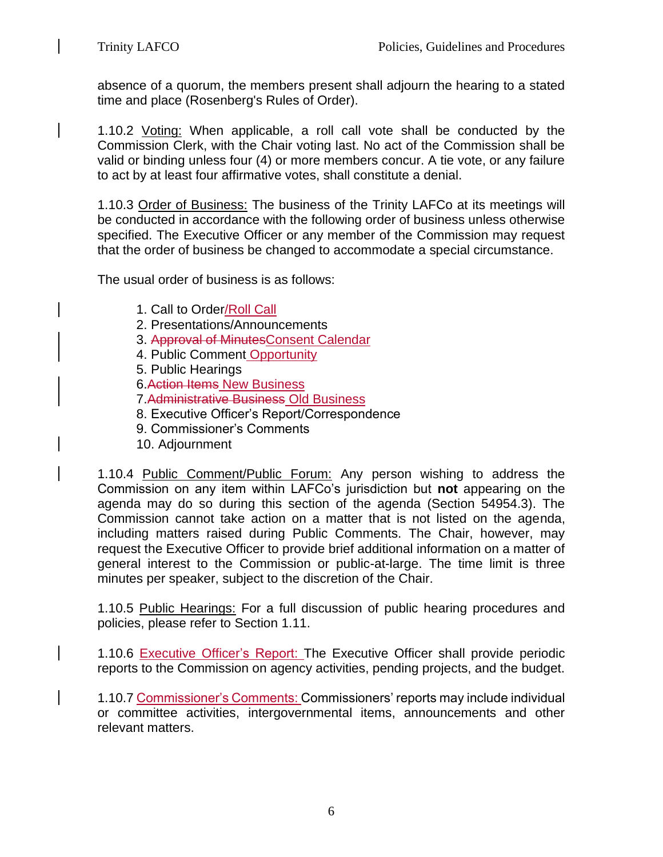absence of a quorum, the members present shall adjourn the hearing to a stated time and place (Rosenberg's Rules of Order).

1.10.2 Voting: When applicable, a roll call vote shall be conducted by the Commission Clerk, with the Chair voting last. No act of the Commission shall be valid or binding unless four (4) or more members concur. A tie vote, or any failure to act by at least four affirmative votes, shall constitute a denial.

1.10.3 Order of Business: The business of the Trinity LAFCo at its meetings will be conducted in accordance with the following order of business unless otherwise specified. The Executive Officer or any member of the Commission may request that the order of business be changed to accommodate a special circumstance.

The usual order of business is as follows:

- 1. Call to Order/Roll Call
- 2. Presentations/Announcements
- 3. Approval of MinutesConsent Calendar
- 4. Public Comment Opportunity
- 5. Public Hearings
- 6.Action Items New Business
- 7.Administrative Business Old Business
- 8. Executive Officer's Report/Correspondence
- 9. Commissioner's Comments
- 10. Adjournment

1.10.4 Public Comment/Public Forum: Any person wishing to address the Commission on any item within LAFCo's jurisdiction but **not** appearing on the agenda may do so during this section of the agenda (Section 54954.3). The Commission cannot take action on a matter that is not listed on the agenda, including matters raised during Public Comments. The Chair, however, may request the Executive Officer to provide brief additional information on a matter of general interest to the Commission or public-at-large. The time limit is three minutes per speaker, subject to the discretion of the Chair.

1.10.5 Public Hearings: For a full discussion of public hearing procedures and policies, please refer to Section 1.11.

1.10.6 Executive Officer's Report: The Executive Officer shall provide periodic reports to the Commission on agency activities, pending projects, and the budget.

1.10.7 Commissioner's Comments: Commissioners' reports may include individual or committee activities, intergovernmental items, announcements and other relevant matters.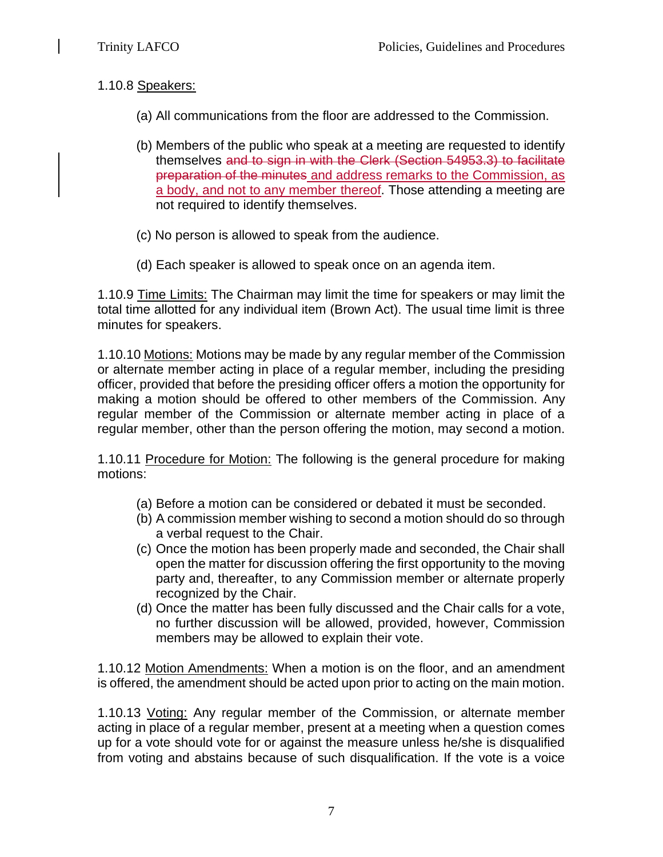## 1.10.8 Speakers:

- (a) All communications from the floor are addressed to the Commission.
- (b) Members of the public who speak at a meeting are requested to identify themselves and to sign in with the Clerk (Section 54953.3) to facilitate preparation of the minutes and address remarks to the Commission, as a body, and not to any member thereof. Those attending a meeting are not required to identify themselves.
- (c) No person is allowed to speak from the audience.
- (d) Each speaker is allowed to speak once on an agenda item.

1.10.9 Time Limits: The Chairman may limit the time for speakers or may limit the total time allotted for any individual item (Brown Act). The usual time limit is three minutes for speakers.

1.10.10 Motions: Motions may be made by any regular member of the Commission or alternate member acting in place of a regular member, including the presiding officer, provided that before the presiding officer offers a motion the opportunity for making a motion should be offered to other members of the Commission. Any regular member of the Commission or alternate member acting in place of a regular member, other than the person offering the motion, may second a motion.

1.10.11 Procedure for Motion: The following is the general procedure for making motions:

- (a) Before a motion can be considered or debated it must be seconded.
- (b) A commission member wishing to second a motion should do so through a verbal request to the Chair.
- (c) Once the motion has been properly made and seconded, the Chair shall open the matter for discussion offering the first opportunity to the moving party and, thereafter, to any Commission member or alternate properly recognized by the Chair.
- (d) Once the matter has been fully discussed and the Chair calls for a vote, no further discussion will be allowed, provided, however, Commission members may be allowed to explain their vote.

1.10.12 Motion Amendments: When a motion is on the floor, and an amendment is offered, the amendment should be acted upon prior to acting on the main motion.

1.10.13 Voting: Any regular member of the Commission, or alternate member acting in place of a regular member, present at a meeting when a question comes up for a vote should vote for or against the measure unless he/she is disqualified from voting and abstains because of such disqualification. If the vote is a voice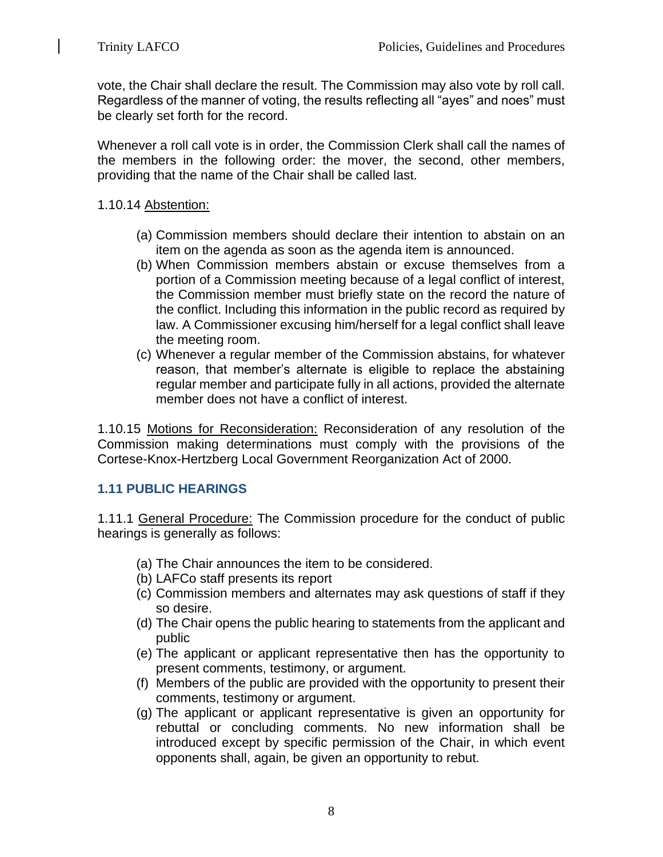vote, the Chair shall declare the result. The Commission may also vote by roll call. Regardless of the manner of voting, the results reflecting all "ayes" and noes" must be clearly set forth for the record.

Whenever a roll call vote is in order, the Commission Clerk shall call the names of the members in the following order: the mover, the second, other members, providing that the name of the Chair shall be called last.

## 1.10.14 Abstention:

- (a) Commission members should declare their intention to abstain on an item on the agenda as soon as the agenda item is announced.
- (b) When Commission members abstain or excuse themselves from a portion of a Commission meeting because of a legal conflict of interest, the Commission member must briefly state on the record the nature of the conflict. Including this information in the public record as required by law. A Commissioner excusing him/herself for a legal conflict shall leave the meeting room.
- (c) Whenever a regular member of the Commission abstains, for whatever reason, that member's alternate is eligible to replace the abstaining regular member and participate fully in all actions, provided the alternate member does not have a conflict of interest.

1.10.15 Motions for Reconsideration: Reconsideration of any resolution of the Commission making determinations must comply with the provisions of the Cortese-Knox-Hertzberg Local Government Reorganization Act of 2000.

## **1.11 PUBLIC HEARINGS**

1.11.1 General Procedure: The Commission procedure for the conduct of public hearings is generally as follows:

- (a) The Chair announces the item to be considered.
- (b) LAFCo staff presents its report
- (c) Commission members and alternates may ask questions of staff if they so desire.
- (d) The Chair opens the public hearing to statements from the applicant and public
- (e) The applicant or applicant representative then has the opportunity to present comments, testimony, or argument.
- (f) Members of the public are provided with the opportunity to present their comments, testimony or argument.
- (g) The applicant or applicant representative is given an opportunity for rebuttal or concluding comments. No new information shall be introduced except by specific permission of the Chair, in which event opponents shall, again, be given an opportunity to rebut.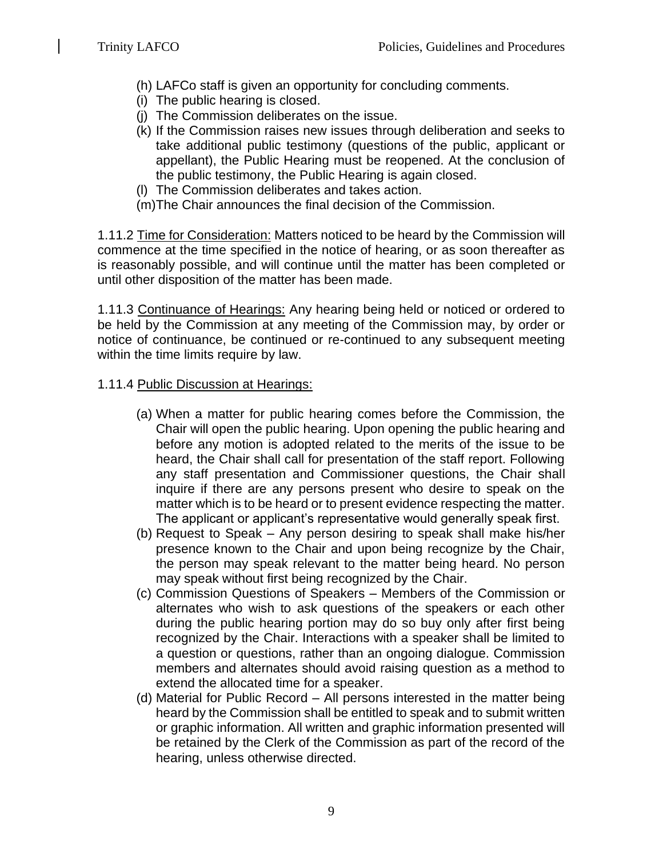- (h) LAFCo staff is given an opportunity for concluding comments.
- (i) The public hearing is closed.
- (j) The Commission deliberates on the issue.
- (k) If the Commission raises new issues through deliberation and seeks to take additional public testimony (questions of the public, applicant or appellant), the Public Hearing must be reopened. At the conclusion of the public testimony, the Public Hearing is again closed.
- (l) The Commission deliberates and takes action.
- (m)The Chair announces the final decision of the Commission.

1.11.2 Time for Consideration: Matters noticed to be heard by the Commission will commence at the time specified in the notice of hearing, or as soon thereafter as is reasonably possible, and will continue until the matter has been completed or until other disposition of the matter has been made.

1.11.3 Continuance of Hearings: Any hearing being held or noticed or ordered to be held by the Commission at any meeting of the Commission may, by order or notice of continuance, be continued or re-continued to any subsequent meeting within the time limits require by law.

## 1.11.4 Public Discussion at Hearings:

- (a) When a matter for public hearing comes before the Commission, the Chair will open the public hearing. Upon opening the public hearing and before any motion is adopted related to the merits of the issue to be heard, the Chair shall call for presentation of the staff report. Following any staff presentation and Commissioner questions, the Chair shall inquire if there are any persons present who desire to speak on the matter which is to be heard or to present evidence respecting the matter. The applicant or applicant's representative would generally speak first.
- (b) Request to Speak Any person desiring to speak shall make his/her presence known to the Chair and upon being recognize by the Chair, the person may speak relevant to the matter being heard. No person may speak without first being recognized by the Chair.
- (c) Commission Questions of Speakers Members of the Commission or alternates who wish to ask questions of the speakers or each other during the public hearing portion may do so buy only after first being recognized by the Chair. Interactions with a speaker shall be limited to a question or questions, rather than an ongoing dialogue. Commission members and alternates should avoid raising question as a method to extend the allocated time for a speaker.
- (d) Material for Public Record All persons interested in the matter being heard by the Commission shall be entitled to speak and to submit written or graphic information. All written and graphic information presented will be retained by the Clerk of the Commission as part of the record of the hearing, unless otherwise directed.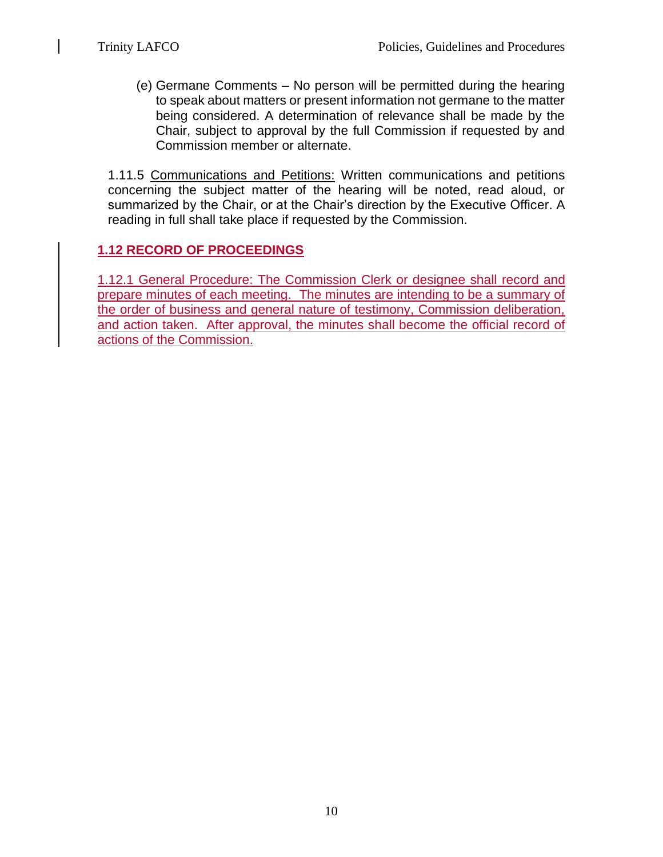(e) Germane Comments – No person will be permitted during the hearing to speak about matters or present information not germane to the matter being considered. A determination of relevance shall be made by the Chair, subject to approval by the full Commission if requested by and Commission member or alternate.

1.11.5 Communications and Petitions: Written communications and petitions concerning the subject matter of the hearing will be noted, read aloud, or summarized by the Chair, or at the Chair's direction by the Executive Officer. A reading in full shall take place if requested by the Commission.

# **1.12 RECORD OF PROCEEDINGS**

1.12.1 General Procedure: The Commission Clerk or designee shall record and prepare minutes of each meeting. The minutes are intending to be a summary of the order of business and general nature of testimony, Commission deliberation, and action taken. After approval, the minutes shall become the official record of actions of the Commission.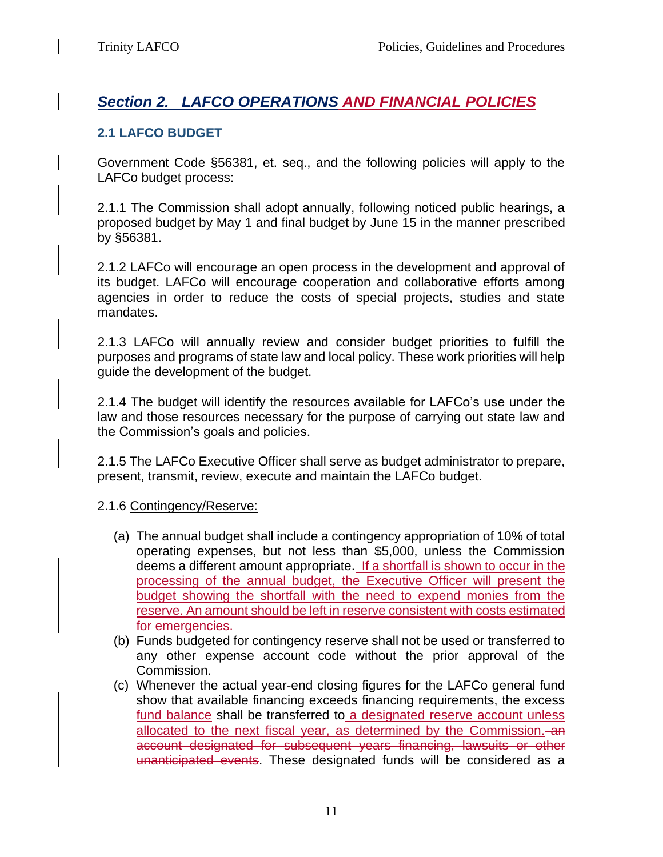# *Section 2. LAFCO OPERATIONS AND FINANCIAL POLICIES*

## **2.1 LAFCO BUDGET**

Government Code §56381, et. seq., and the following policies will apply to the LAFCo budget process:

2.1.1 The Commission shall adopt annually, following noticed public hearings, a proposed budget by May 1 and final budget by June 15 in the manner prescribed by §56381.

2.1.2 LAFCo will encourage an open process in the development and approval of its budget. LAFCo will encourage cooperation and collaborative efforts among agencies in order to reduce the costs of special projects, studies and state mandates.

2.1.3 LAFCo will annually review and consider budget priorities to fulfill the purposes and programs of state law and local policy. These work priorities will help guide the development of the budget.

2.1.4 The budget will identify the resources available for LAFCo's use under the law and those resources necessary for the purpose of carrying out state law and the Commission's goals and policies.

2.1.5 The LAFCo Executive Officer shall serve as budget administrator to prepare, present, transmit, review, execute and maintain the LAFCo budget.

## 2.1.6 Contingency/Reserve:

- (a) The annual budget shall include a contingency appropriation of 10% of total operating expenses, but not less than \$5,000, unless the Commission deems a different amount appropriate. If a shortfall is shown to occur in the processing of the annual budget, the Executive Officer will present the budget showing the shortfall with the need to expend monies from the reserve. An amount should be left in reserve consistent with costs estimated for emergencies.
- (b) Funds budgeted for contingency reserve shall not be used or transferred to any other expense account code without the prior approval of the Commission.
- (c) Whenever the actual year-end closing figures for the LAFCo general fund show that available financing exceeds financing requirements, the excess fund balance shall be transferred to a designated reserve account unless allocated to the next fiscal year, as determined by the Commission. an account designated for subsequent years financing, lawsuits or other unanticipated events. These designated funds will be considered as a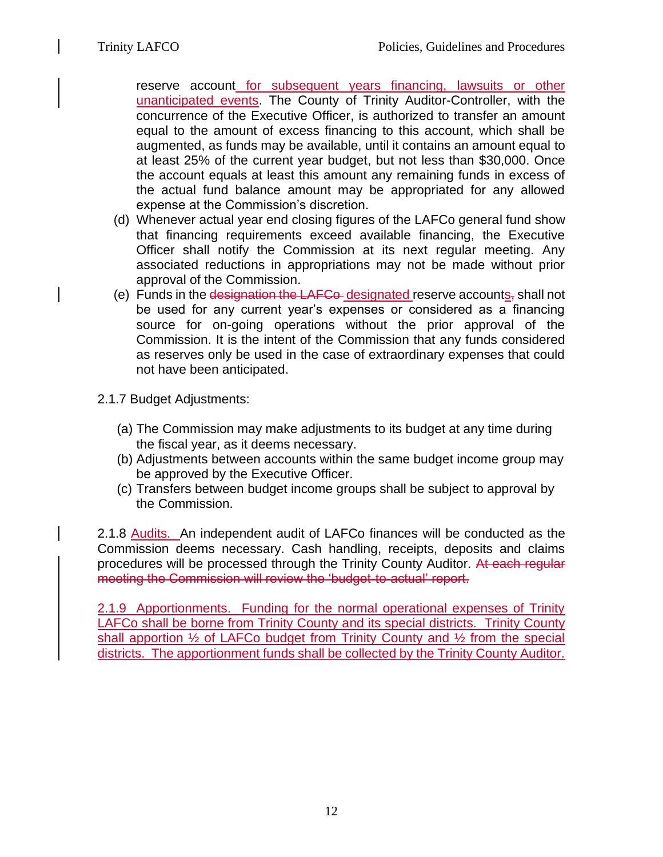reserve account for subsequent years financing, lawsuits or other unanticipated events. The County of Trinity Auditor-Controller, with the concurrence of the Executive Officer, is authorized to transfer an amount equal to the amount of excess financing to this account, which shall be augmented, as funds may be available, until it contains an amount equal to at least 25% of the current year budget, but not less than \$30,000. Once the account equals at least this amount any remaining funds in excess of the actual fund balance amount may be appropriated for any allowed expense at the Commission's discretion.

- (d) Whenever actual year end closing figures of the LAFCo general fund show that financing requirements exceed available financing, the Executive Officer shall notify the Commission at its next regular meeting. Any associated reductions in appropriations may not be made without prior approval of the Commission.
- (e) Funds in the designation the LAFCo-designated reserve accounts, shall not be used for any current year's expenses or considered as a financing source for on-going operations without the prior approval of the Commission. It is the intent of the Commission that any funds considered as reserves only be used in the case of extraordinary expenses that could not have been anticipated.
- 2.1.7 Budget Adjustments:
	- (a) The Commission may make adjustments to its budget at any time during the fiscal year, as it deems necessary.
	- (b) Adjustments between accounts within the same budget income group may be approved by the Executive Officer.
	- (c) Transfers between budget income groups shall be subject to approval by the Commission.

2.1.8 Audits. An independent audit of LAFCo finances will be conducted as the Commission deems necessary. Cash handling, receipts, deposits and claims procedures will be processed through the Trinity County Auditor. At each regular meeting the Commission will review the 'budget-to-actual' report.

2.1.9 Apportionments. Funding for the normal operational expenses of Trinity LAFCo shall be borne from Trinity County and its special districts. Trinity County shall apportion  $\frac{1}{2}$  of LAFCo budget from Trinity County and  $\frac{1}{2}$  from the special districts. The apportionment funds shall be collected by the Trinity County Auditor.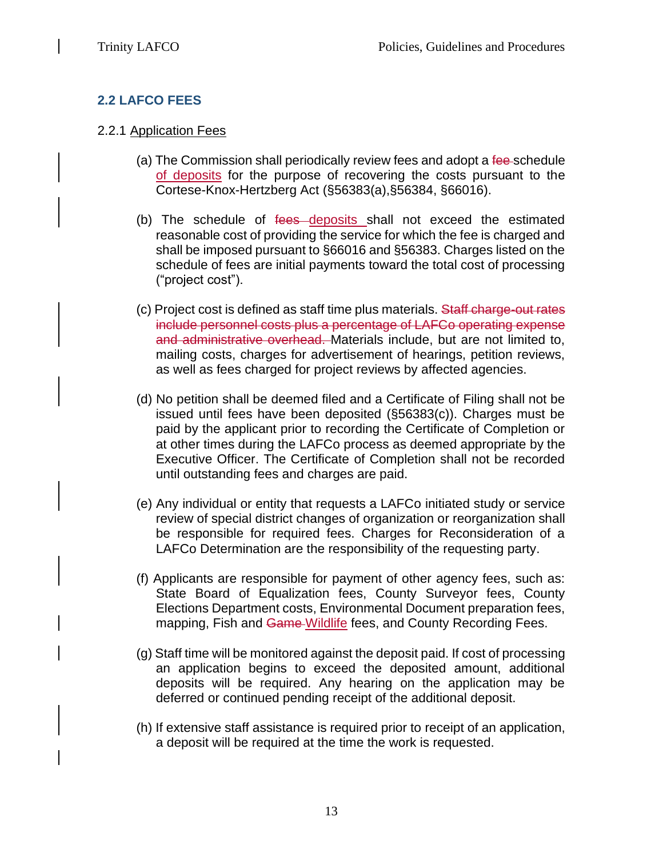# **2.2 LAFCO FEES**

#### 2.2.1 Application Fees

- (a) The Commission shall periodically review fees and adopt a fee-schedule of deposits for the purpose of recovering the costs pursuant to the Cortese-Knox-Hertzberg Act (§56383(a),§56384, §66016).
- (b) The schedule of fees deposits shall not exceed the estimated reasonable cost of providing the service for which the fee is charged and shall be imposed pursuant to §66016 and §56383. Charges listed on the schedule of fees are initial payments toward the total cost of processing ("project cost").
- (c) Project cost is defined as staff time plus materials. Staff charge-out rates include personnel costs plus a percentage of LAFCo operating expense and administrative overhead. Materials include, but are not limited to, mailing costs, charges for advertisement of hearings, petition reviews, as well as fees charged for project reviews by affected agencies.
- (d) No petition shall be deemed filed and a Certificate of Filing shall not be issued until fees have been deposited (§56383(c)). Charges must be paid by the applicant prior to recording the Certificate of Completion or at other times during the LAFCo process as deemed appropriate by the Executive Officer. The Certificate of Completion shall not be recorded until outstanding fees and charges are paid.
- (e) Any individual or entity that requests a LAFCo initiated study or service review of special district changes of organization or reorganization shall be responsible for required fees. Charges for Reconsideration of a LAFCo Determination are the responsibility of the requesting party.
- (f) Applicants are responsible for payment of other agency fees, such as: State Board of Equalization fees, County Surveyor fees, County Elections Department costs, Environmental Document preparation fees, mapping, Fish and Game-Wildlife fees, and County Recording Fees.
- (g) Staff time will be monitored against the deposit paid. If cost of processing an application begins to exceed the deposited amount, additional deposits will be required. Any hearing on the application may be deferred or continued pending receipt of the additional deposit.
- (h) If extensive staff assistance is required prior to receipt of an application, a deposit will be required at the time the work is requested.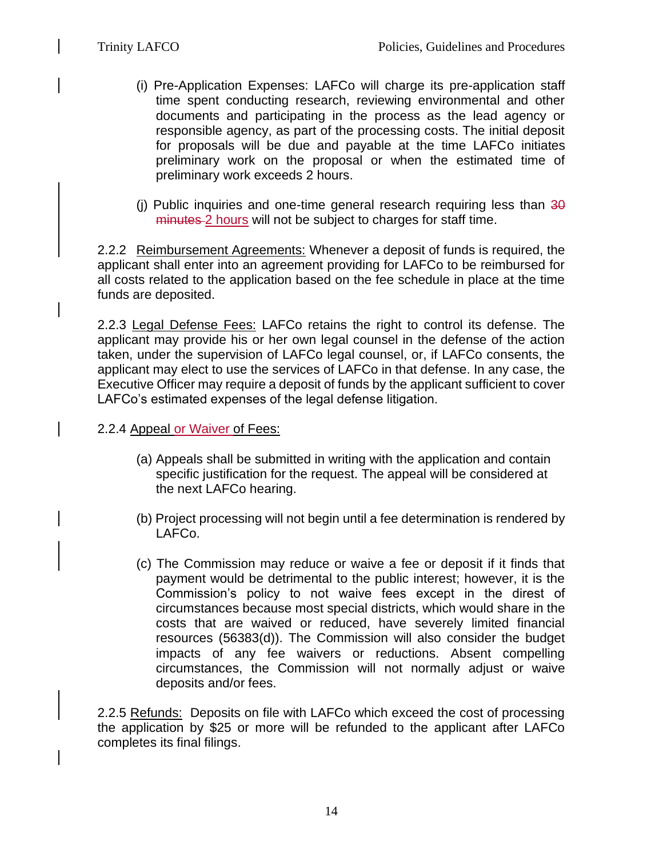- (i) Pre-Application Expenses: LAFCo will charge its pre-application staff time spent conducting research, reviewing environmental and other documents and participating in the process as the lead agency or responsible agency, as part of the processing costs. The initial deposit for proposals will be due and payable at the time LAFCo initiates preliminary work on the proposal or when the estimated time of preliminary work exceeds 2 hours.
- (i) Public inquiries and one-time general research requiring less than  $30$ minutes 2 hours will not be subject to charges for staff time.

2.2.2 Reimbursement Agreements: Whenever a deposit of funds is required, the applicant shall enter into an agreement providing for LAFCo to be reimbursed for all costs related to the application based on the fee schedule in place at the time funds are deposited.

2.2.3 Legal Defense Fees: LAFCo retains the right to control its defense. The applicant may provide his or her own legal counsel in the defense of the action taken, under the supervision of LAFCo legal counsel, or, if LAFCo consents, the applicant may elect to use the services of LAFCo in that defense. In any case, the Executive Officer may require a deposit of funds by the applicant sufficient to cover LAFCo's estimated expenses of the legal defense litigation.

- 2.2.4 Appeal or Waiver of Fees:
	- (a) Appeals shall be submitted in writing with the application and contain specific justification for the request. The appeal will be considered at the next LAFCo hearing.
	- (b) Project processing will not begin until a fee determination is rendered by LAFCo.
	- (c) The Commission may reduce or waive a fee or deposit if it finds that payment would be detrimental to the public interest; however, it is the Commission's policy to not waive fees except in the direst of circumstances because most special districts, which would share in the costs that are waived or reduced, have severely limited financial resources (56383(d)). The Commission will also consider the budget impacts of any fee waivers or reductions. Absent compelling circumstances, the Commission will not normally adjust or waive deposits and/or fees.

2.2.5 Refunds: Deposits on file with LAFCo which exceed the cost of processing the application by \$25 or more will be refunded to the applicant after LAFCo completes its final filings.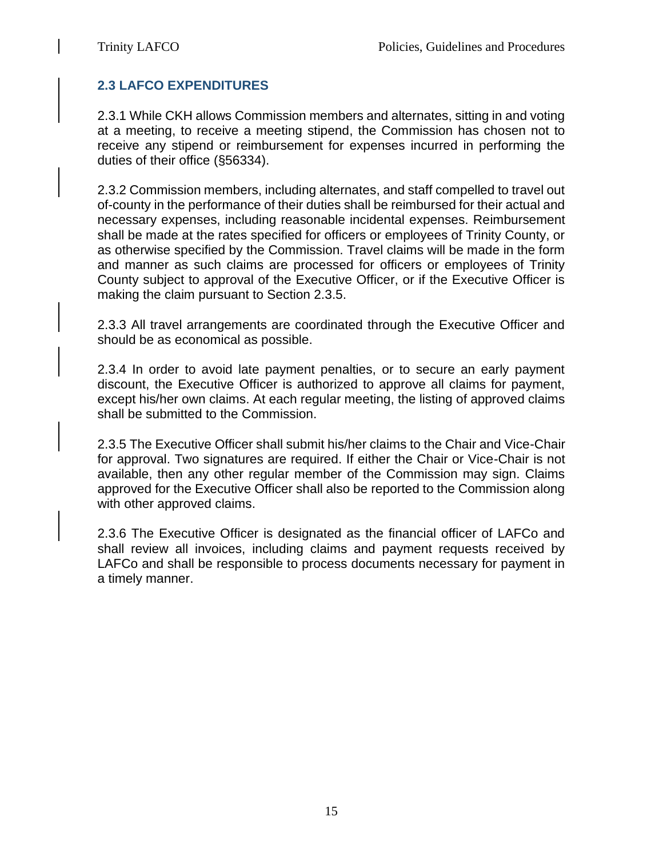# **2.3 LAFCO EXPENDITURES**

2.3.1 While CKH allows Commission members and alternates, sitting in and voting at a meeting, to receive a meeting stipend, the Commission has chosen not to receive any stipend or reimbursement for expenses incurred in performing the duties of their office (§56334).

2.3.2 Commission members, including alternates, and staff compelled to travel out of-county in the performance of their duties shall be reimbursed for their actual and necessary expenses, including reasonable incidental expenses. Reimbursement shall be made at the rates specified for officers or employees of Trinity County, or as otherwise specified by the Commission. Travel claims will be made in the form and manner as such claims are processed for officers or employees of Trinity County subject to approval of the Executive Officer, or if the Executive Officer is making the claim pursuant to Section 2.3.5.

2.3.3 All travel arrangements are coordinated through the Executive Officer and should be as economical as possible.

2.3.4 In order to avoid late payment penalties, or to secure an early payment discount, the Executive Officer is authorized to approve all claims for payment, except his/her own claims. At each regular meeting, the listing of approved claims shall be submitted to the Commission.

2.3.5 The Executive Officer shall submit his/her claims to the Chair and Vice-Chair for approval. Two signatures are required. If either the Chair or Vice-Chair is not available, then any other regular member of the Commission may sign. Claims approved for the Executive Officer shall also be reported to the Commission along with other approved claims.

2.3.6 The Executive Officer is designated as the financial officer of LAFCo and shall review all invoices, including claims and payment requests received by LAFCo and shall be responsible to process documents necessary for payment in a timely manner.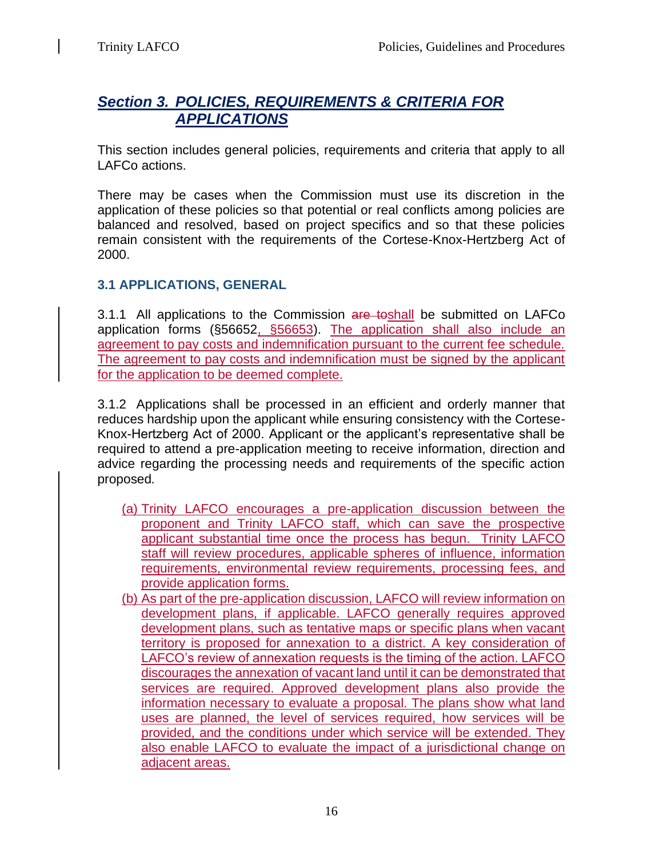# *Section 3. POLICIES, REQUIREMENTS & CRITERIA FOR APPLICATIONS*

This section includes general policies, requirements and criteria that apply to all LAFCo actions.

There may be cases when the Commission must use its discretion in the application of these policies so that potential or real conflicts among policies are balanced and resolved, based on project specifics and so that these policies remain consistent with the requirements of the Cortese-Knox-Hertzberg Act of 2000.

# **3.1 APPLICATIONS, GENERAL**

3.1.1 All applications to the Commission are toshall be submitted on LAFCo application forms (§56652, §56653). The application shall also include an agreement to pay costs and indemnification pursuant to the current fee schedule. The agreement to pay costs and indemnification must be signed by the applicant for the application to be deemed complete.

3.1.2 Applications shall be processed in an efficient and orderly manner that reduces hardship upon the applicant while ensuring consistency with the Cortese-Knox-Hertzberg Act of 2000. Applicant or the applicant's representative shall be required to attend a pre-application meeting to receive information, direction and advice regarding the processing needs and requirements of the specific action proposed*.* 

- (a) Trinity LAFCO encourages a pre-application discussion between the proponent and Trinity LAFCO staff, which can save the prospective applicant substantial time once the process has begun. Trinity LAFCO staff will review procedures, applicable spheres of influence, information requirements, environmental review requirements, processing fees, and provide application forms.
- (b) As part of the pre-application discussion, LAFCO will review information on development plans, if applicable. LAFCO generally requires approved development plans, such as tentative maps or specific plans when vacant territory is proposed for annexation to a district. A key consideration of LAFCO's review of annexation requests is the timing of the action. LAFCO discourages the annexation of vacant land until it can be demonstrated that services are required. Approved development plans also provide the information necessary to evaluate a proposal. The plans show what land uses are planned, the level of services required, how services will be provided, and the conditions under which service will be extended. They also enable LAFCO to evaluate the impact of a jurisdictional change on adjacent areas.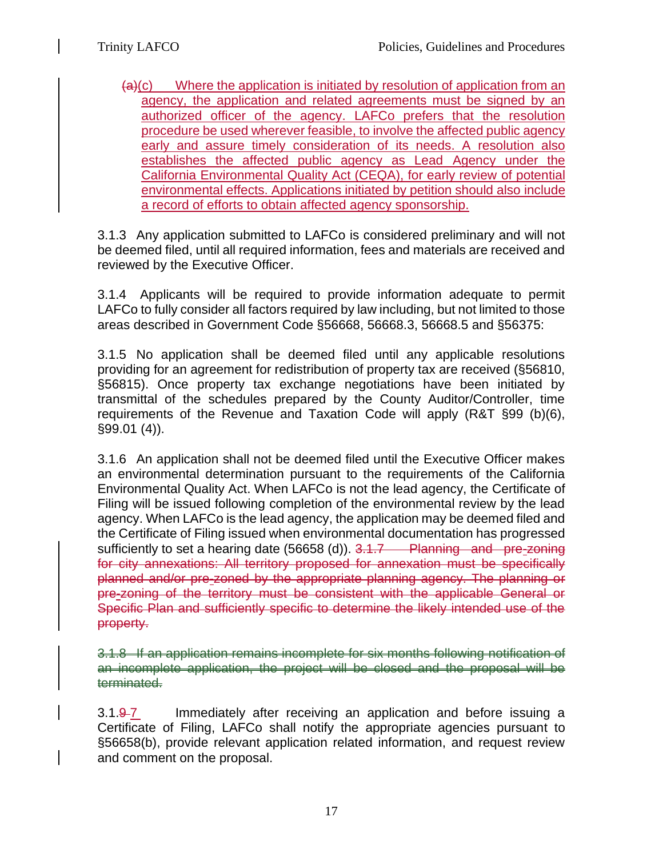$(a)(c)$  Where the application is initiated by resolution of application from an agency, the application and related agreements must be signed by an authorized officer of the agency. LAFCo prefers that the resolution procedure be used wherever feasible, to involve the affected public agency early and assure timely consideration of its needs. A resolution also establishes the affected public agency as Lead Agency under the California Environmental Quality Act (CEQA), for early review of potential environmental effects. Applications initiated by petition should also include a record of efforts to obtain affected agency sponsorship.

3.1.3 Any application submitted to LAFCo is considered preliminary and will not be deemed filed, until all required information, fees and materials are received and reviewed by the Executive Officer.

3.1.4 Applicants will be required to provide information adequate to permit LAFCo to fully consider all factors required by law including, but not limited to those areas described in Government Code §56668, 56668.3, 56668.5 and §56375:

3.1.5 No application shall be deemed filed until any applicable resolutions providing for an agreement for redistribution of property tax are received (§56810, §56815). Once property tax exchange negotiations have been initiated by transmittal of the schedules prepared by the County Auditor/Controller, time requirements of the Revenue and Taxation Code will apply (R&T §99 (b)(6), §99.01 (4)).

3.1.6 An application shall not be deemed filed until the Executive Officer makes an environmental determination pursuant to the requirements of the California Environmental Quality Act. When LAFCo is not the lead agency, the Certificate of Filing will be issued following completion of the environmental review by the lead agency. When LAFCo is the lead agency, the application may be deemed filed and the Certificate of Filing issued when environmental documentation has progressed sufficiently to set a hearing date (56658 (d)). 3.1.7 Planning and pre-zoning for city annexations: All territory proposed for annexation must be specifically planned and/or pre-zoned by the appropriate planning agency. The planning or pre-zoning of the territory must be consistent with the applicable General or Specific Plan and sufficiently specific to determine the likely intended use of the property.

3.1.8 If an application remains incomplete for six months following notification of an incomplete application, the project will be closed and the proposal will be terminated.

3.1.9-7 Immediately after receiving an application and before issuing a Certificate of Filing, LAFCo shall notify the appropriate agencies pursuant to §56658(b), provide relevant application related information, and request review and comment on the proposal.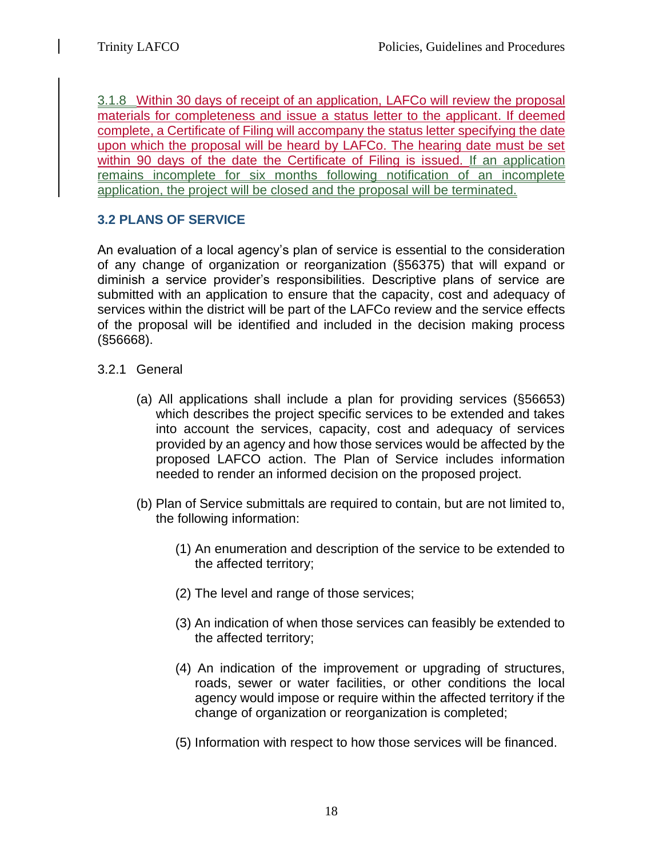3.1.8 Within 30 days of receipt of an application, LAFCo will review the proposal materials for completeness and issue a status letter to the applicant. If deemed complete, a Certificate of Filing will accompany the status letter specifying the date upon which the proposal will be heard by LAFCo. The hearing date must be set within 90 days of the date the Certificate of Filing is issued. If an application remains incomplete for six months following notification of an incomplete application, the project will be closed and the proposal will be terminated.

## **3.2 PLANS OF SERVICE**

An evaluation of a local agency's plan of service is essential to the consideration of any change of organization or reorganization (§56375) that will expand or diminish a service provider's responsibilities. Descriptive plans of service are submitted with an application to ensure that the capacity, cost and adequacy of services within the district will be part of the LAFCo review and the service effects of the proposal will be identified and included in the decision making process (§56668).

- 3.2.1 General
	- (a) All applications shall include a plan for providing services (§56653) which describes the project specific services to be extended and takes into account the services, capacity, cost and adequacy of services provided by an agency and how those services would be affected by the proposed LAFCO action. The Plan of Service includes information needed to render an informed decision on the proposed project.
	- (b) Plan of Service submittals are required to contain, but are not limited to, the following information:
		- (1) An enumeration and description of the service to be extended to the affected territory;
		- (2) The level and range of those services;
		- (3) An indication of when those services can feasibly be extended to the affected territory;
		- (4) An indication of the improvement or upgrading of structures, roads, sewer or water facilities, or other conditions the local agency would impose or require within the affected territory if the change of organization or reorganization is completed;
		- (5) Information with respect to how those services will be financed.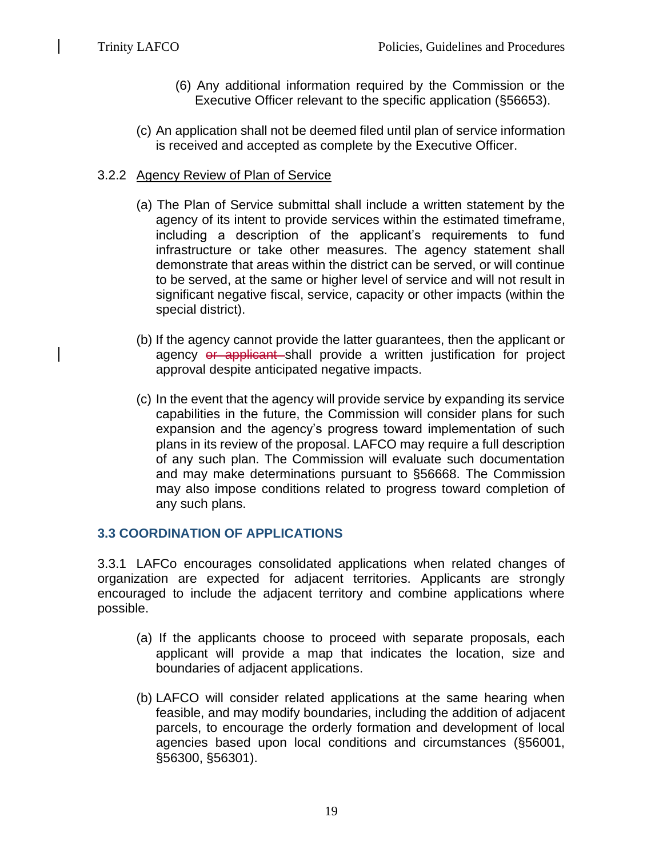- (6) Any additional information required by the Commission or the Executive Officer relevant to the specific application (§56653).
- (c) An application shall not be deemed filed until plan of service information is received and accepted as complete by the Executive Officer.

#### 3.2.2 Agency Review of Plan of Service

- (a) The Plan of Service submittal shall include a written statement by the agency of its intent to provide services within the estimated timeframe, including a description of the applicant's requirements to fund infrastructure or take other measures. The agency statement shall demonstrate that areas within the district can be served, or will continue to be served, at the same or higher level of service and will not result in significant negative fiscal, service, capacity or other impacts (within the special district).
- (b) If the agency cannot provide the latter guarantees, then the applicant or agency or applicant shall provide a written justification for project approval despite anticipated negative impacts.
- (c) In the event that the agency will provide service by expanding its service capabilities in the future, the Commission will consider plans for such expansion and the agency's progress toward implementation of such plans in its review of the proposal. LAFCO may require a full description of any such plan. The Commission will evaluate such documentation and may make determinations pursuant to §56668. The Commission may also impose conditions related to progress toward completion of any such plans.

## **3.3 COORDINATION OF APPLICATIONS**

3.3.1 LAFCo encourages consolidated applications when related changes of organization are expected for adjacent territories. Applicants are strongly encouraged to include the adjacent territory and combine applications where possible.

- (a) If the applicants choose to proceed with separate proposals, each applicant will provide a map that indicates the location, size and boundaries of adjacent applications.
- (b) LAFCO will consider related applications at the same hearing when feasible, and may modify boundaries, including the addition of adjacent parcels, to encourage the orderly formation and development of local agencies based upon local conditions and circumstances (§56001, §56300, §56301).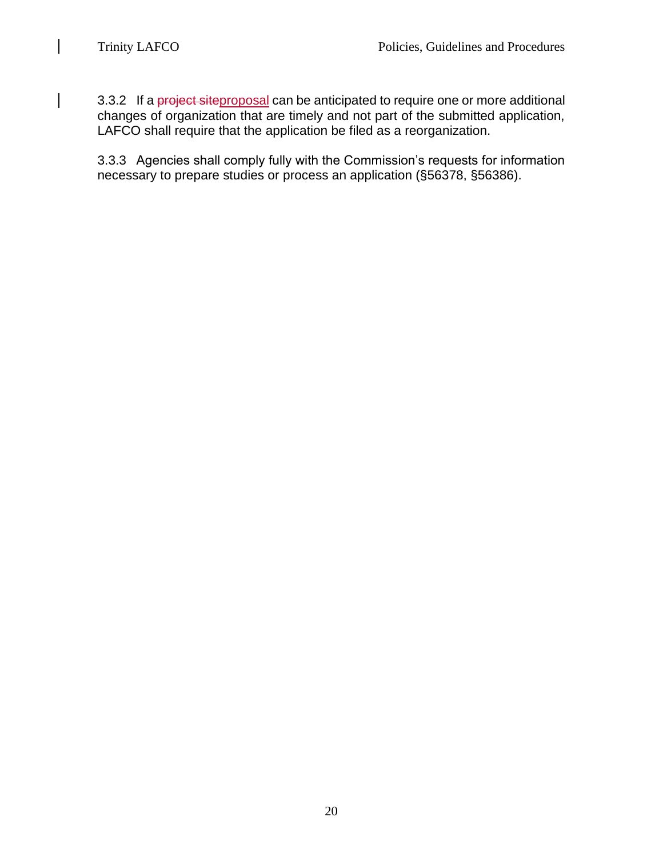$\overline{\phantom{a}}$ 

 $\overline{\phantom{a}}$ 

3.3.2 If a project siteproposal can be anticipated to require one or more additional changes of organization that are timely and not part of the submitted application, LAFCO shall require that the application be filed as a reorganization.

3.3.3 Agencies shall comply fully with the Commission's requests for information necessary to prepare studies or process an application (§56378, §56386).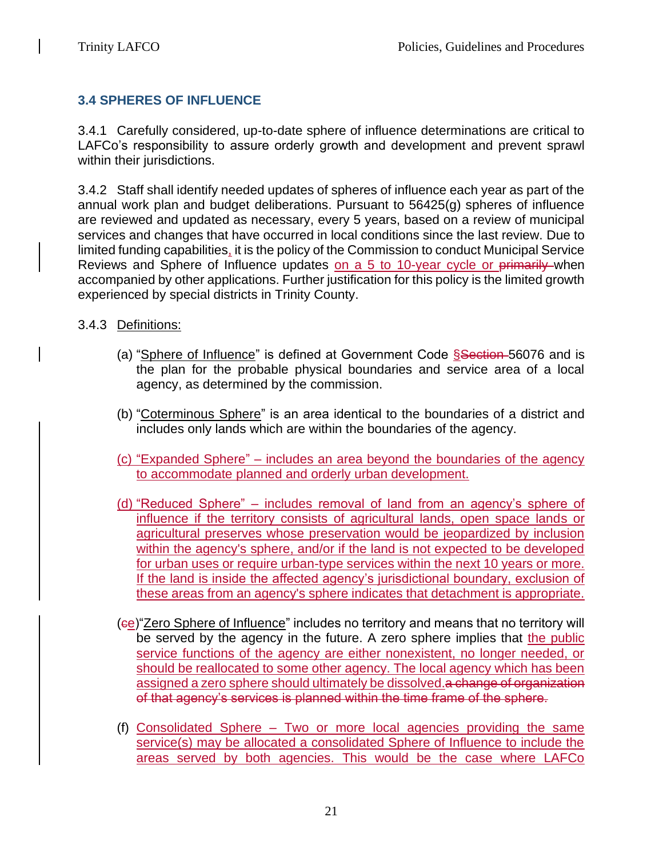# **3.4 SPHERES OF INFLUENCE**

3.4.1 Carefully considered, up-to-date sphere of influence determinations are critical to LAFCo's responsibility to assure orderly growth and development and prevent sprawl within their jurisdictions.

3.4.2 Staff shall identify needed updates of spheres of influence each year as part of the annual work plan and budget deliberations. Pursuant to 56425(g) spheres of influence are reviewed and updated as necessary, every 5 years, based on a review of municipal services and changes that have occurred in local conditions since the last review. Due to limited funding capabilities, it is the policy of the Commission to conduct Municipal Service Reviews and Sphere of Influence updates on a 5 to 10-year cycle or primarily when accompanied by other applications. Further justification for this policy is the limited growth experienced by special districts in Trinity County.

## 3.4.3 Definitions:

- (a) "Sphere of Influence" is defined at Government Code Ssection 56076 and is the plan for the probable physical boundaries and service area of a local agency, as determined by the commission.
- (b) "Coterminous Sphere" is an area identical to the boundaries of a district and includes only lands which are within the boundaries of the agency.
- (c) "Expanded Sphere" includes an area beyond the boundaries of the agency to accommodate planned and orderly urban development.
- (d) "Reduced Sphere" includes removal of land from an agency's sphere of influence if the territory consists of agricultural lands, open space lands or agricultural preserves whose preservation would be jeopardized by inclusion within the agency's sphere, and/or if the land is not expected to be developed for urban uses or require urban-type services within the next 10 years or more. If the land is inside the affected agency's jurisdictional boundary, exclusion of these areas from an agency's sphere indicates that detachment is appropriate.
- (ce)"Zero Sphere of Influence" includes no territory and means that no territory will be served by the agency in the future. A zero sphere implies that the public service functions of the agency are either nonexistent, no longer needed, or should be reallocated to some other agency. The local agency which has been assigned a zero sphere should ultimately be dissolved.a change of organization of that agency's services is planned within the time frame of the sphere.
- (f) Consolidated Sphere Two or more local agencies providing the same service(s) may be allocated a consolidated Sphere of Influence to include the areas served by both agencies. This would be the case where LAFCo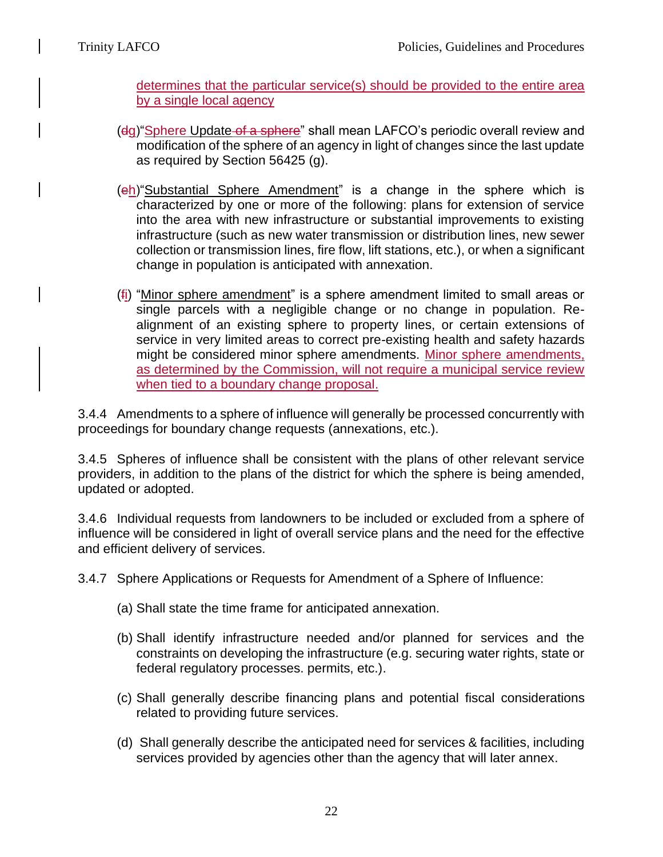determines that the particular service(s) should be provided to the entire area by a single local agency

- (dg) "Sphere Update of a sphere" shall mean LAFCO's periodic overall review and modification of the sphere of an agency in light of changes since the last update as required by Section 56425 (g).
- (eh)"Substantial Sphere Amendment" is a change in the sphere which is characterized by one or more of the following: plans for extension of service into the area with new infrastructure or substantial improvements to existing infrastructure (such as new water transmission or distribution lines, new sewer collection or transmission lines, fire flow, lift stations, etc.), or when a significant change in population is anticipated with annexation.
- (fi) "Minor sphere amendment" is a sphere amendment limited to small areas or single parcels with a negligible change or no change in population. Realignment of an existing sphere to property lines, or certain extensions of service in very limited areas to correct pre-existing health and safety hazards might be considered minor sphere amendments. Minor sphere amendments, as determined by the Commission, will not require a municipal service review when tied to a boundary change proposal.

3.4.4 Amendments to a sphere of influence will generally be processed concurrently with proceedings for boundary change requests (annexations, etc.).

3.4.5 Spheres of influence shall be consistent with the plans of other relevant service providers, in addition to the plans of the district for which the sphere is being amended, updated or adopted.

3.4.6 Individual requests from landowners to be included or excluded from a sphere of influence will be considered in light of overall service plans and the need for the effective and efficient delivery of services.

3.4.7 Sphere Applications or Requests for Amendment of a Sphere of Influence:

- (a) Shall state the time frame for anticipated annexation.
- (b) Shall identify infrastructure needed and/or planned for services and the constraints on developing the infrastructure (e.g. securing water rights, state or federal regulatory processes. permits, etc.).
- (c) Shall generally describe financing plans and potential fiscal considerations related to providing future services.
- (d) Shall generally describe the anticipated need for services & facilities, including services provided by agencies other than the agency that will later annex.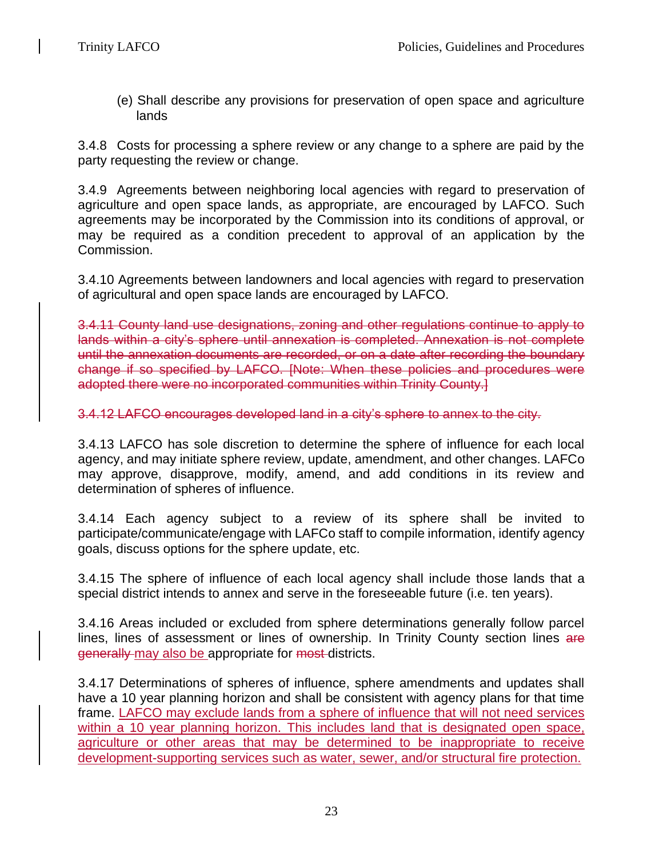(e) Shall describe any provisions for preservation of open space and agriculture lands

3.4.8 Costs for processing a sphere review or any change to a sphere are paid by the party requesting the review or change.

3.4.9 Agreements between neighboring local agencies with regard to preservation of agriculture and open space lands, as appropriate, are encouraged by LAFCO. Such agreements may be incorporated by the Commission into its conditions of approval, or may be required as a condition precedent to approval of an application by the Commission.

3.4.10 Agreements between landowners and local agencies with regard to preservation of agricultural and open space lands are encouraged by LAFCO.

3.4.11 County land use designations, zoning and other regulations continue to apply to lands within a city's sphere until annexation is completed. Annexation is not complete until the annexation documents are recorded, or on a date after recording the boundary change if so specified by LAFCO. [Note: When these policies and procedures were adopted there were no incorporated communities within Trinity County.]

3.4.12 LAFCO encourages developed land in a city's sphere to annex to the city.

3.4.13 LAFCO has sole discretion to determine the sphere of influence for each local agency, and may initiate sphere review, update, amendment, and other changes. LAFCo may approve, disapprove, modify, amend, and add conditions in its review and determination of spheres of influence.

3.4.14 Each agency subject to a review of its sphere shall be invited to participate/communicate/engage with LAFCo staff to compile information, identify agency goals, discuss options for the sphere update, etc.

3.4.15 The sphere of influence of each local agency shall include those lands that a special district intends to annex and serve in the foreseeable future (i.e. ten years).

3.4.16 Areas included or excluded from sphere determinations generally follow parcel lines, lines of assessment or lines of ownership. In Trinity County section lines are generally may also be appropriate for most districts.

3.4.17 Determinations of spheres of influence, sphere amendments and updates shall have a 10 year planning horizon and shall be consistent with agency plans for that time frame. LAFCO may exclude lands from a sphere of influence that will not need services within a 10 year planning horizon. This includes land that is designated open space, agriculture or other areas that may be determined to be inappropriate to receive development-supporting services such as water, sewer, and/or structural fire protection.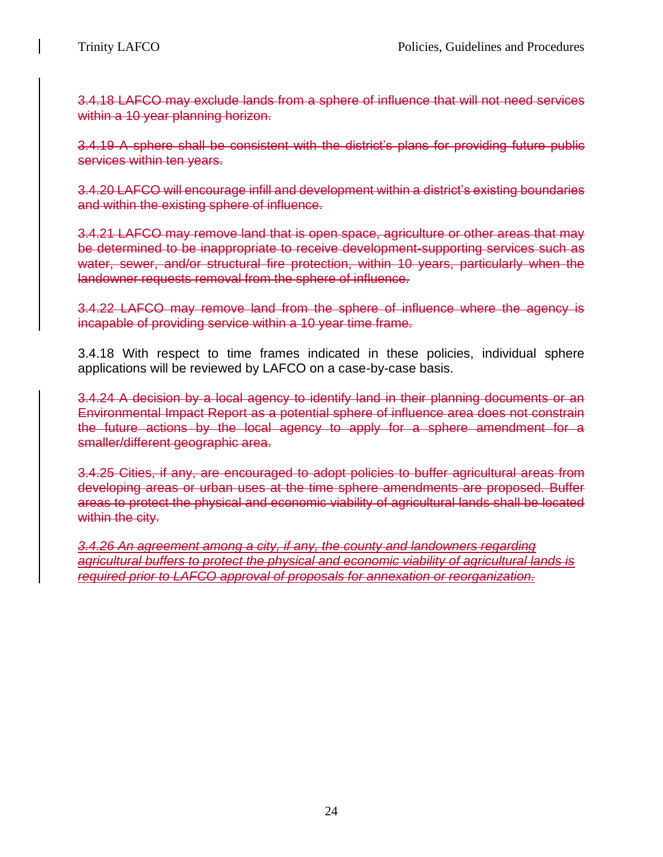3.4.18 LAFCO may exclude lands from a sphere of influence that will not need services within a 10 year planning horizon.

3.4.19 A sphere shall be consistent with the district's plans for providing future public services within ten years.

3.4.20 LAFCO will encourage infill and development within a district's existing boundaries and within the existing sphere of influence.

3.4.21 LAFCO may remove land that is open space, agriculture or other areas that may be determined to be inappropriate to receive development-supporting services such as water, sewer, and/or structural fire protection, within 10 years, particularly when the landowner requests removal from the sphere of influence.

3.4.22 LAFCO may remove land from the sphere of influence where the agency is incapable of providing service within a 10 year time frame.

3.4.18 With respect to time frames indicated in these policies, individual sphere applications will be reviewed by LAFCO on a case-by-case basis.

3.4.24 A decision by a local agency to identify land in their planning documents or an Environmental Impact Report as a potential sphere of influence area does not constrain the future actions by the local agency to apply for a sphere amendment for a smaller/different geographic area.

3.4.25 Cities, if any, are encouraged to adopt policies to buffer agricultural areas from developing areas or urban uses at the time sphere amendments are proposed. Buffer areas to protect the physical and economic viability of agricultural lands shall be located within the city.

*3.4.26 An agreement among a city, if any, the county and landowners regarding agricultural buffers to protect the physical and economic viability of agricultural lands is required prior to LAFCO approval of proposals for annexation or reorganization.*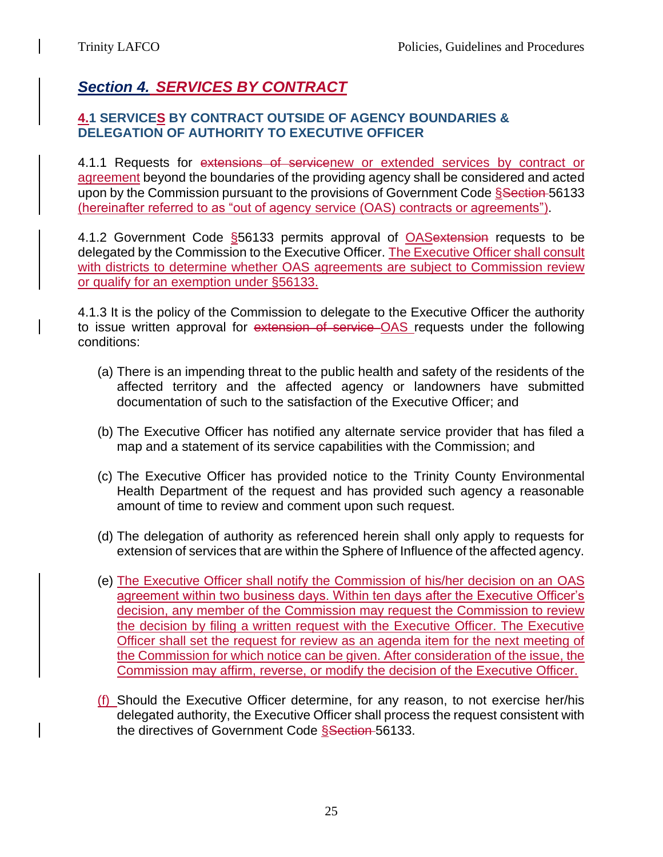# *Section 4. SERVICES BY CONTRACT*

## **4.1 SERVICES BY CONTRACT OUTSIDE OF AGENCY BOUNDARIES & DELEGATION OF AUTHORITY TO EXECUTIVE OFFICER**

4.1.1 Requests for extensions of servicenew or extended services by contract or agreement beyond the boundaries of the providing agency shall be considered and acted upon by the Commission pursuant to the provisions of Government Code Ssection 56133 (hereinafter referred to as "out of agency service (OAS) contracts or agreements").

4.1.2 Government Code §56133 permits approval of OASextension requests to be delegated by the Commission to the Executive Officer. The Executive Officer shall consult with districts to determine whether OAS agreements are subject to Commission review or qualify for an exemption under §56133.

4.1.3 It is the policy of the Commission to delegate to the Executive Officer the authority to issue written approval for extension of service OAS requests under the following conditions:

- (a) There is an impending threat to the public health and safety of the residents of the affected territory and the affected agency or landowners have submitted documentation of such to the satisfaction of the Executive Officer; and
- (b) The Executive Officer has notified any alternate service provider that has filed a map and a statement of its service capabilities with the Commission; and
- (c) The Executive Officer has provided notice to the Trinity County Environmental Health Department of the request and has provided such agency a reasonable amount of time to review and comment upon such request.
- (d) The delegation of authority as referenced herein shall only apply to requests for extension of services that are within the Sphere of Influence of the affected agency.
- (e) The Executive Officer shall notify the Commission of his/her decision on an OAS agreement within two business days. Within ten days after the Executive Officer's decision, any member of the Commission may request the Commission to review the decision by filing a written request with the Executive Officer. The Executive Officer shall set the request for review as an agenda item for the next meeting of the Commission for which notice can be given. After consideration of the issue, the Commission may affirm, reverse, or modify the decision of the Executive Officer.
- (f) Should the Executive Officer determine, for any reason, to not exercise her/his delegated authority, the Executive Officer shall process the request consistent with the directives of Government Code Ssection 56133.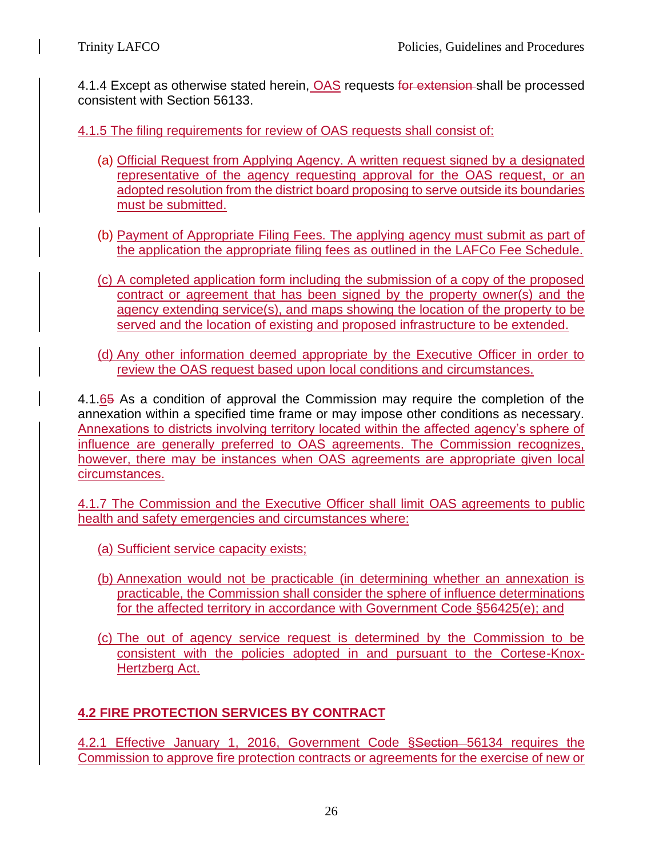4.1.4 Except as otherwise stated herein, OAS requests for extension-shall be processed consistent with Section 56133.

4.1.5 The filing requirements for review of OAS requests shall consist of:

- (a) Official Request from Applying Agency. A written request signed by a designated representative of the agency requesting approval for the OAS request, or an adopted resolution from the district board proposing to serve outside its boundaries must be submitted.
- (b) Payment of Appropriate Filing Fees. The applying agency must submit as part of the application the appropriate filing fees as outlined in the LAFCo Fee Schedule.
- (c) A completed application form including the submission of a copy of the proposed contract or agreement that has been signed by the property owner(s) and the agency extending service(s), and maps showing the location of the property to be served and the location of existing and proposed infrastructure to be extended.
- (d) Any other information deemed appropriate by the Executive Officer in order to review the OAS request based upon local conditions and circumstances.

4.1.65 As a condition of approval the Commission may require the completion of the annexation within a specified time frame or may impose other conditions as necessary. Annexations to districts involving territory located within the affected agency's sphere of influence are generally preferred to OAS agreements. The Commission recognizes, however, there may be instances when OAS agreements are appropriate given local circumstances.

4.1.7 The Commission and the Executive Officer shall limit OAS agreements to public health and safety emergencies and circumstances where:

- (a) Sufficient service capacity exists;
- (b) Annexation would not be practicable (in determining whether an annexation is practicable, the Commission shall consider the sphere of influence determinations for the affected territory in accordance with Government Code §56425(e); and
- (c) The out of agency service request is determined by the Commission to be consistent with the policies adopted in and pursuant to the Cortese-Knox-Hertzberg Act.

# **4.2 FIRE PROTECTION SERVICES BY CONTRACT**

4.2.1 Effective January 1, 2016, Government Code Ssection 56134 requires the Commission to approve fire protection contracts or agreements for the exercise of new or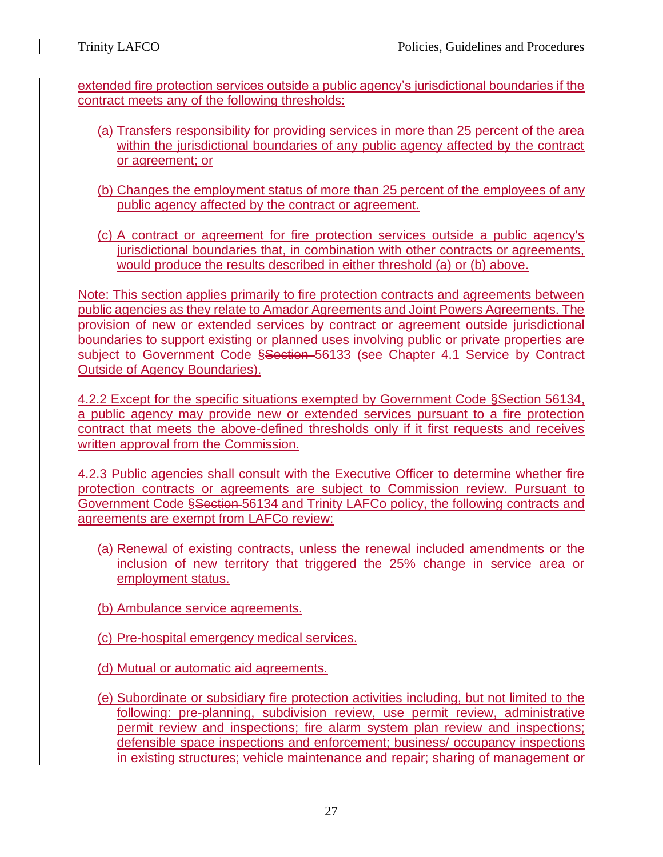extended fire protection services outside a public agency's jurisdictional boundaries if the contract meets any of the following thresholds:

- (a) Transfers responsibility for providing services in more than 25 percent of the area within the jurisdictional boundaries of any public agency affected by the contract or agreement; or
- (b) Changes the employment status of more than 25 percent of the employees of any public agency affected by the contract or agreement.
- (c) A contract or agreement for fire protection services outside a public agency's jurisdictional boundaries that, in combination with other contracts or agreements, would produce the results described in either threshold (a) or (b) above.

Note: This section applies primarily to fire protection contracts and agreements between public agencies as they relate to Amador Agreements and Joint Powers Agreements. The provision of new or extended services by contract or agreement outside jurisdictional boundaries to support existing or planned uses involving public or private properties are subject to Government Code Ssection 56133 (see Chapter 4.1 Service by Contract Outside of Agency Boundaries).

4.2.2 Except for the specific situations exempted by Government Code §Section-56134, a public agency may provide new or extended services pursuant to a fire protection contract that meets the above-defined thresholds only if it first requests and receives written approval from the Commission.

4.2.3 Public agencies shall consult with the Executive Officer to determine whether fire protection contracts or agreements are subject to Commission review. Pursuant to Government Code §Section 56134 and Trinity LAFCo policy, the following contracts and agreements are exempt from LAFCo review:

- (a) Renewal of existing contracts, unless the renewal included amendments or the inclusion of new territory that triggered the 25% change in service area or employment status.
- (b) Ambulance service agreements.
- (c) Pre-hospital emergency medical services.
- (d) Mutual or automatic aid agreements.
- (e) Subordinate or subsidiary fire protection activities including, but not limited to the following: pre-planning, subdivision review, use permit review, administrative permit review and inspections; fire alarm system plan review and inspections; defensible space inspections and enforcement; business/ occupancy inspections in existing structures; vehicle maintenance and repair; sharing of management or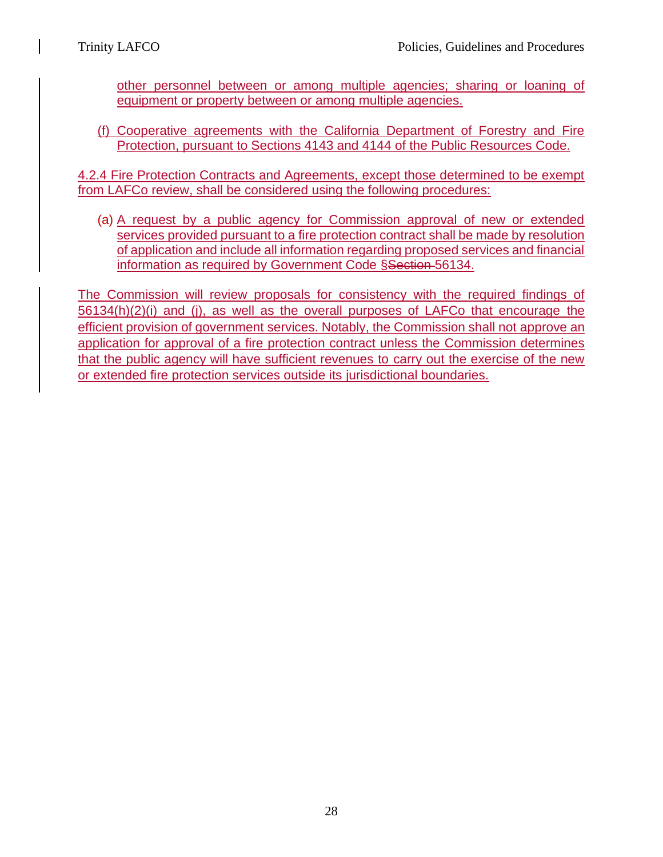other personnel between or among multiple agencies; sharing or loaning of equipment or property between or among multiple agencies.

(f) Cooperative agreements with the California Department of Forestry and Fire Protection, pursuant to Sections 4143 and 4144 of the Public Resources Code.

4.2.4 Fire Protection Contracts and Agreements, except those determined to be exempt from LAFCo review, shall be considered using the following procedures:

(a) A request by a public agency for Commission approval of new or extended services provided pursuant to a fire protection contract shall be made by resolution of application and include all information regarding proposed services and financial information as required by Government Code §Section-56134.

The Commission will review proposals for consistency with the required findings of 56134(h)(2)(i) and (j), as well as the overall purposes of LAFCo that encourage the efficient provision of government services. Notably, the Commission shall not approve an application for approval of a fire protection contract unless the Commission determines that the public agency will have sufficient revenues to carry out the exercise of the new or extended fire protection services outside its jurisdictional boundaries.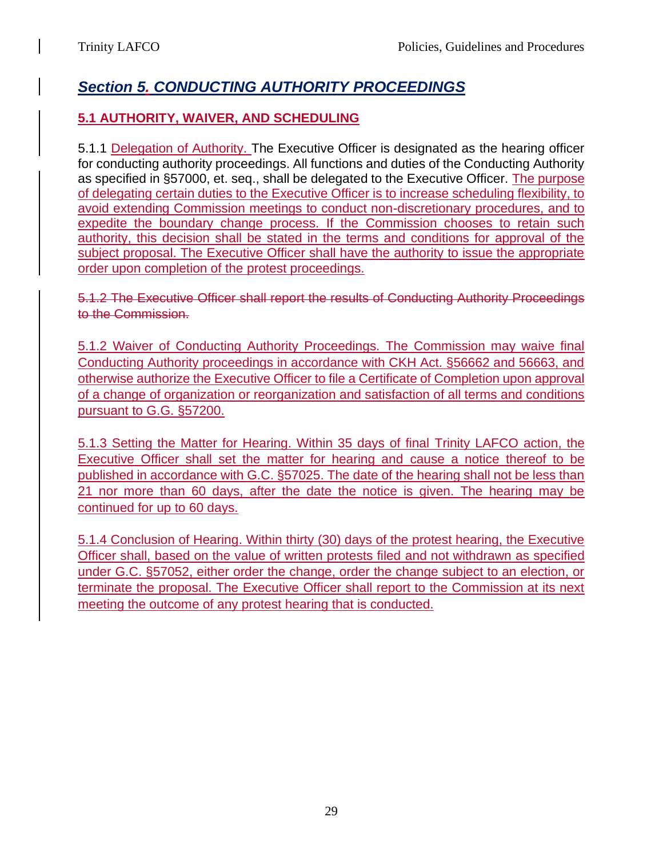# *Section 5. CONDUCTING AUTHORITY PROCEEDINGS*

# **5.1 AUTHORITY, WAIVER, AND SCHEDULING**

5.1.1 Delegation of Authority. The Executive Officer is designated as the hearing officer for conducting authority proceedings. All functions and duties of the Conducting Authority as specified in §57000, et. seq., shall be delegated to the Executive Officer. The purpose of delegating certain duties to the Executive Officer is to increase scheduling flexibility, to avoid extending Commission meetings to conduct non-discretionary procedures, and to expedite the boundary change process. If the Commission chooses to retain such authority, this decision shall be stated in the terms and conditions for approval of the subject proposal. The Executive Officer shall have the authority to issue the appropriate order upon completion of the protest proceedings.

5.1.2 The Executive Officer shall report the results of Conducting Authority Proceedings to the Commission.

5.1.2 Waiver of Conducting Authority Proceedings. The Commission may waive final Conducting Authority proceedings in accordance with CKH Act. §56662 and 56663, and otherwise authorize the Executive Officer to file a Certificate of Completion upon approval of a change of organization or reorganization and satisfaction of all terms and conditions pursuant to G.G. §57200.

5.1.3 Setting the Matter for Hearing. Within 35 days of final Trinity LAFCO action, the Executive Officer shall set the matter for hearing and cause a notice thereof to be published in accordance with G.C. §57025. The date of the hearing shall not be less than 21 nor more than 60 days, after the date the notice is given. The hearing may be continued for up to 60 days.

5.1.4 Conclusion of Hearing. Within thirty (30) days of the protest hearing, the Executive Officer shall, based on the value of written protests filed and not withdrawn as specified under G.C. §57052, either order the change, order the change subject to an election, or terminate the proposal. The Executive Officer shall report to the Commission at its next meeting the outcome of any protest hearing that is conducted.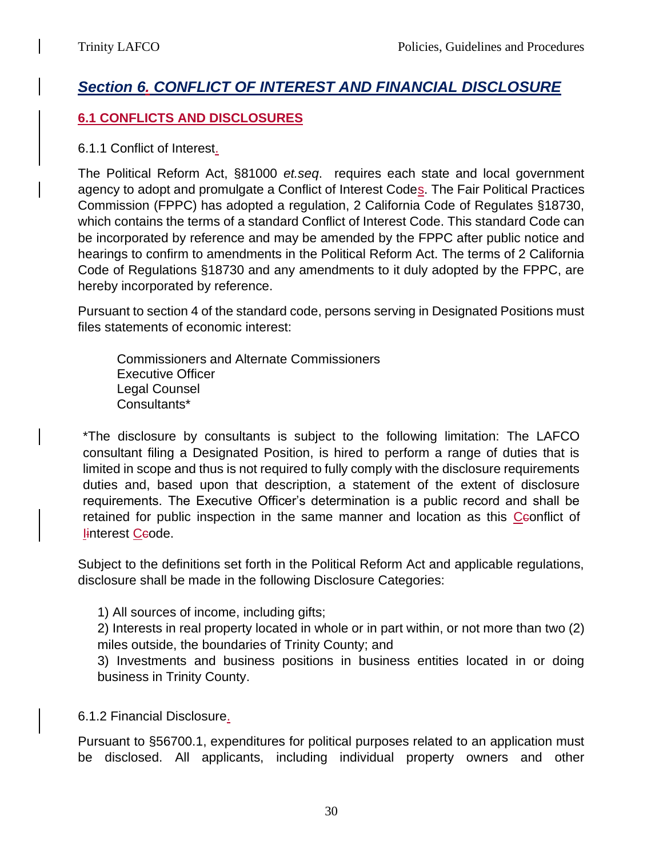# *Section 6. CONFLICT OF INTEREST AND FINANCIAL DISCLOSURE*

## **6.1 CONFLICTS AND DISCLOSURES**

#### 6.1.1 Conflict of Interest.

The Political Reform Act, §81000 *et.seq*. requires each state and local government agency to adopt and promulgate a Conflict of Interest Codes. The Fair Political Practices Commission (FPPC) has adopted a regulation, 2 California Code of Regulates §18730, which contains the terms of a standard Conflict of Interest Code. This standard Code can be incorporated by reference and may be amended by the FPPC after public notice and hearings to confirm to amendments in the Political Reform Act. The terms of 2 California Code of Regulations §18730 and any amendments to it duly adopted by the FPPC, are hereby incorporated by reference.

Pursuant to section 4 of the standard code, persons serving in Designated Positions must files statements of economic interest:

Commissioners and Alternate Commissioners Executive Officer Legal Counsel Consultants\*

\*The disclosure by consultants is subject to the following limitation: The LAFCO consultant filing a Designated Position, is hired to perform a range of duties that is limited in scope and thus is not required to fully comply with the disclosure requirements duties and, based upon that description, a statement of the extent of disclosure requirements. The Executive Officer's determination is a public record and shall be retained for public inspection in the same manner and location as this Ceonflict of linterest Ceode.

Subject to the definitions set forth in the Political Reform Act and applicable regulations, disclosure shall be made in the following Disclosure Categories:

1) All sources of income, including gifts;

2) Interests in real property located in whole or in part within, or not more than two (2) miles outside, the boundaries of Trinity County; and

3) Investments and business positions in business entities located in or doing business in Trinity County.

## 6.1.2 Financial Disclosure.

Pursuant to §56700.1, expenditures for political purposes related to an application must be disclosed. All applicants, including individual property owners and other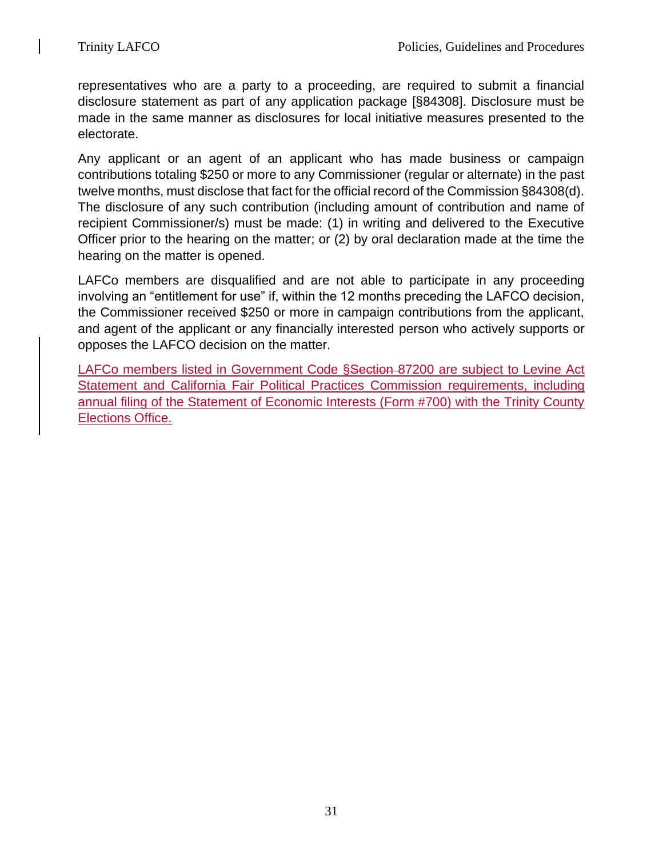representatives who are a party to a proceeding, are required to submit a financial disclosure statement as part of any application package [§84308]. Disclosure must be made in the same manner as disclosures for local initiative measures presented to the electorate.

Any applicant or an agent of an applicant who has made business or campaign contributions totaling \$250 or more to any Commissioner (regular or alternate) in the past twelve months, must disclose that fact for the official record of the Commission §84308(d). The disclosure of any such contribution (including amount of contribution and name of recipient Commissioner/s) must be made: (1) in writing and delivered to the Executive Officer prior to the hearing on the matter; or (2) by oral declaration made at the time the hearing on the matter is opened.

LAFCo members are disqualified and are not able to participate in any proceeding involving an "entitlement for use" if, within the 12 months preceding the LAFCO decision, the Commissioner received \$250 or more in campaign contributions from the applicant, and agent of the applicant or any financially interested person who actively supports or opposes the LAFCO decision on the matter.

LAFCo members listed in Government Code §Section 87200 are subject to Levine Act Statement and California Fair Political Practices Commission requirements, including annual filing of the Statement of Economic Interests (Form #700) with the Trinity County Elections Office.